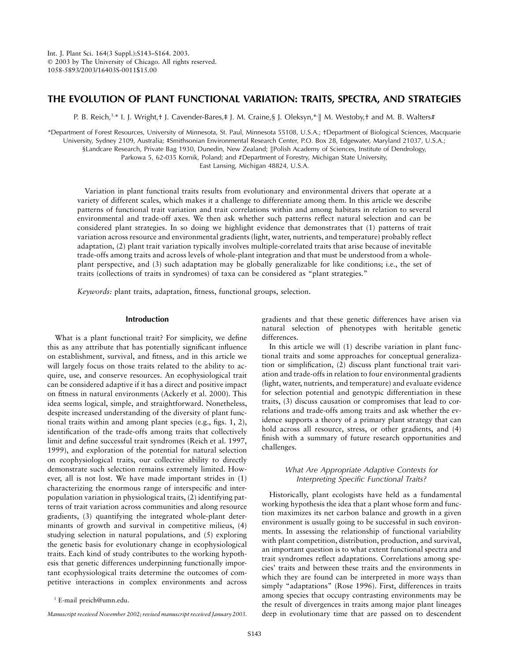# **THE EVOLUTION OF PLANT FUNCTIONAL VARIATION: TRAITS, SPECTRA, AND STRATEGIES**

P. B. Reich,<sup>1,\*</sup> I. J. Wright, HJ. Cavender-Bares, ‡J. M. Craine, §J. Oleksyn, \* $\parallel$  M. Westoby, † and M. B. Walters#

\*Department of Forest Resources, University of Minnesota, St. Paul, Minnesota 55108, U.S.A.; †Department of Biological Sciences, Macquarie University, Sydney 2109, Australia; ‡Smithsonian Environmental Research Center, P.O. Box 28, Edgewater, Maryland 21037, U.S.A.; §Landcare Research, Private Bag 1930, Dunedin, New Zealand; ||Polish Academy of Sciences, Institute of Dendrology,

Parkowa 5, 62-035 Kornik, Poland; and #Department of Forestry, Michigan State University,

East Lansing, Michigan 48824, U.S.A.

Variation in plant functional traits results from evolutionary and environmental drivers that operate at a variety of different scales, which makes it a challenge to differentiate among them. In this article we describe patterns of functional trait variation and trait correlations within and among habitats in relation to several environmental and trade-off axes. We then ask whether such patterns reflect natural selection and can be considered plant strategies. In so doing we highlight evidence that demonstrates that (1) patterns of trait variation across resource and environmental gradients (light, water, nutrients, and temperature) probably reflect adaptation, (2) plant trait variation typically involves multiple-correlated traits that arise because of inevitable trade-offs among traits and across levels of whole-plant integration and that must be understood from a wholeplant perspective, and (3) such adaptation may be globally generalizable for like conditions; i.e., the set of traits (collections of traits in syndromes) of taxa can be considered as "plant strategies."

*Keywords:* plant traits, adaptation, fitness, functional groups, selection.

#### **Introduction**

What is a plant functional trait? For simplicity, we define this as any attribute that has potentially significant influence on establishment, survival, and fitness, and in this article we will largely focus on those traits related to the ability to acquire, use, and conserve resources. An ecophysiological trait can be considered adaptive if it has a direct and positive impact on fitness in natural environments (Ackerly et al. 2000). This idea seems logical, simple, and straightforward. Nonetheless, despite increased understanding of the diversity of plant functional traits within and among plant species (e.g., figs. 1, 2), identification of the trade-offs among traits that collectively limit and define successful trait syndromes (Reich et al. 1997, 1999), and exploration of the potential for natural selection on ecophysiological traits, our collective ability to directly demonstrate such selection remains extremely limited. However, all is not lost. We have made important strides in (1) characterizing the enormous range of interspecific and interpopulation variation in physiological traits, (2) identifying patterns of trait variation across communities and along resource gradients, (3) quantifying the integrated whole-plant determinants of growth and survival in competitive milieus, (4) studying selection in natural populations, and (5) exploring the genetic basis for evolutionary change in ecophysiological traits. Each kind of study contributes to the working hypothesis that genetic differences underpinning functionally important ecophysiological traits determine the outcomes of competitive interactions in complex environments and across gradients and that these genetic differences have arisen via natural selection of phenotypes with heritable genetic differences.

In this article we will (1) describe variation in plant functional traits and some approaches for conceptual generalization or simplification, (2) discuss plant functional trait variation and trade-offs in relation to four environmental gradients (light, water, nutrients, and temperature) and evaluate evidence for selection potential and genotypic differentiation in these traits, (3) discuss causation or compromises that lead to correlations and trade-offs among traits and ask whether the evidence supports a theory of a primary plant strategy that can hold across all resource, stress, or other gradients, and  $(4)$ finish with a summary of future research opportunities and challenges.

## *What Are Appropriate Adaptive Contexts for Interpreting Specific Functional Traits?*

Historically, plant ecologists have held as a fundamental working hypothesis the idea that a plant whose form and function maximizes its net carbon balance and growth in a given environment is usually going to be successful in such environments. In assessing the relationship of functional variability with plant competition, distribution, production, and survival, an important question is to what extent functional spectra and trait syndromes reflect adaptations. Correlations among species' traits and between these traits and the environments in which they are found can be interpreted in more ways than simply "adaptations" (Rose 1996). First, differences in traits among species that occupy contrasting environments may be the result of divergences in traits among major plant lineages deep in evolutionary time that are passed on to descendent

<sup>1</sup> E-mail preich@umn.edu.

*Manuscript received November 2002; revised manuscript received January 2003.*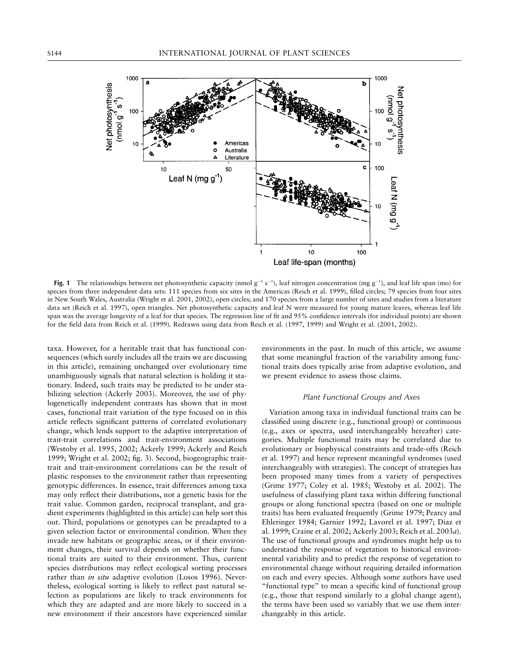

Fig. 1 The relationships between net photosynthetic capacity (nmol  $g^{-1} s^{-1}$ ), leaf nitrogen concentration (mg  $g^{-1}$ ), and leaf life span (mo) for species from three independent data sets: 111 species from six sites in the Americas (Reich et al. 1999), filled circles; 79 species from four sites in New South Wales, Australia (Wright et al. 2001, 2002), open circles; and 170 species from a large number of sites and studies from a literature data set (Reich et al. 1997), open triangles. Net photosynthetic capacity and leaf N were measured for young mature leaves, whereas leaf life span was the average longevity of a leaf for that species. The regression line of fit and 95% confidence intervals (for individual points) are shown for the field data from Reich et al. (1999). Redrawn using data from Reich et al. (1997, 1999) and Wright et al. (2001, 2002).

taxa. However, for a heritable trait that has functional consequences (which surely includes all the traits we are discussing in this article), remaining unchanged over evolutionary time unambiguously signals that natural selection is holding it stationary. Indeed, such traits may be predicted to be under stabilizing selection (Ackerly 2003). Moreover, the use of phylogenetically independent contrasts has shown that in most cases, functional trait variation of the type focused on in this article reflects significant patterns of correlated evolutionary change, which lends support to the adaptive interpretation of trait-trait correlations and trait-environment associations (Westoby et al. 1995, 2002; Ackerly 1999; Ackerly and Reich 1999; Wright et al. 2002; fig. 3). Second, biogeographic traittrait and trait-environment correlations can be the result of plastic responses to the environment rather than representing genotypic differences. In essence, trait differences among taxa may only reflect their distributions, not a genetic basis for the trait value. Common garden, reciprocal transplant, and gradient experiments (highlighted in this article) can help sort this out. Third, populations or genotypes can be preadapted to a given selection factor or environmental condition. When they invade new habitats or geographic areas, or if their environment changes, their survival depends on whether their functional traits are suited to their environment. Thus, current species distributions may reflect ecological sorting processes rather than *in situ* adaptive evolution (Losos 1996). Nevertheless, ecological sorting is likely to reflect past natural selection as populations are likely to track environments for which they are adapted and are more likely to succeed in a new environment if their ancestors have experienced similar

environments in the past. In much of this article, we assume that some meaningful fraction of the variability among functional traits does typically arise from adaptive evolution, and we present evidence to assess those claims.

#### *Plant Functional Groups and Axes*

Variation among taxa in individual functional traits can be classified using discrete (e.g., functional group) or continuous (e.g., axes or spectra, used interchangeably hereafter) categories. Multiple functional traits may be correlated due to evolutionary or biophysical constraints and trade-offs (Reich et al. 1997) and hence represent meaningful syndromes (used interchangeably with strategies). The concept of strategies has been proposed many times from a variety of perspectives (Grime 1977; Coley et al. 1985; Westoby et al. 2002). The usefulness of classifying plant taxa within differing functional groups or along functional spectra (based on one or multiple traits) has been evaluated frequently (Grime 1979; Pearcy and Ehleringer 1984; Garnier 1992; Lavorel et al. 1997; Diaz et al. 1999; Craine et al. 2002; Ackerly 2003; Reich et al. 2003*a*). The use of functional groups and syndromes might help us to understand the response of vegetation to historical environmental variability and to predict the response of vegetation to environmental change without requiring detailed information on each and every species. Although some authors have used "functional type" to mean a specific kind of functional group (e.g., those that respond similarly to a global change agent), the terms have been used so variably that we use them interchangeably in this article.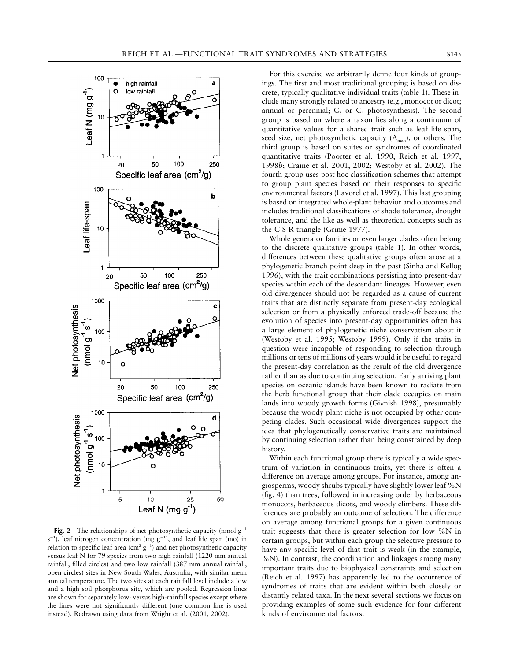

**Fig. 2** The relationships of net photosynthetic capacity (nmol  $g^{-1}$ )  $s^{-1}$ ), leaf nitrogen concentration (mg  $g^{-1}$ ), and leaf life span (mo) in relation to specific leaf area (cm<sup>2</sup>  $g^{-1}$ ) and net photosynthetic capacity versus leaf N for 79 species from two high rainfall (1220 mm annual rainfall, filled circles) and two low rainfall (387 mm annual rainfall, open circles) sites in New South Wales, Australia, with similar mean annual temperature. The two sites at each rainfall level include a low and a high soil phosphorus site, which are pooled. Regression lines are shown for separately low- versus high-rainfall species except where the lines were not significantly different (one common line is used instead). Redrawn using data from Wright et al. (2001, 2002).

For this exercise we arbitrarily define four kinds of groupings. The first and most traditional grouping is based on discrete, typically qualitative individual traits (table 1). These include many strongly related to ancestry (e.g., monocot or dicot; annual or perennial;  $C_3$  or  $C_4$  photosynthesis). The second group is based on where a taxon lies along a continuum of quantitative values for a shared trait such as leaf life span, seed size, net photosynthetic capacity  $(A<sub>max</sub>)$ , or others. The third group is based on suites or syndromes of coordinated quantitative traits (Poorter et al. 1990; Reich et al. 1997, 1998*b*; Craine et al. 2001, 2002; Westoby et al. 2002). The fourth group uses post hoc classification schemes that attempt to group plant species based on their responses to specific environmental factors (Lavorel et al. 1997). This last grouping is based on integrated whole-plant behavior and outcomes and includes traditional classifications of shade tolerance, drought tolerance, and the like as well as theoretical concepts such as the C-S-R triangle (Grime 1977).

Whole genera or families or even larger clades often belong to the discrete qualitative groups (table 1). In other words, differences between these qualitative groups often arose at a phylogenetic branch point deep in the past (Sinha and Kellog 1996), with the trait combinations persisting into present-day species within each of the descendant lineages. However, even old divergences should not be regarded as a cause of current traits that are distinctly separate from present-day ecological selection or from a physically enforced trade-off because the evolution of species into present-day opportunities often has a large element of phylogenetic niche conservatism about it (Westoby et al. 1995; Westoby 1999). Only if the traits in question were incapable of responding to selection through millions or tens of millions of years would it be useful to regard the present-day correlation as the result of the old divergence rather than as due to continuing selection. Early arriving plant species on oceanic islands have been known to radiate from the herb functional group that their clade occupies on main lands into woody growth forms (Givnish 1998), presumably because the woody plant niche is not occupied by other competing clades. Such occasional wide divergences support the idea that phylogenetically conservative traits are maintained by continuing selection rather than being constrained by deep history.

Within each functional group there is typically a wide spectrum of variation in continuous traits, yet there is often a difference on average among groups. For instance, among angiosperms, woody shrubs typically have slightly lower leaf %N (fig. 4) than trees, followed in increasing order by herbaceous monocots, herbaceous dicots, and woody climbers. These differences are probably an outcome of selection. The difference on average among functional groups for a given continuous trait suggests that there is greater selection for low %N in certain groups, but within each group the selective pressure to have any specific level of that trait is weak (in the example, %N). In contrast, the coordination and linkages among many important traits due to biophysical constraints and selection (Reich et al. 1997) has apparently led to the occurrence of syndromes of traits that are evident within both closely or distantly related taxa. In the next several sections we focus on providing examples of some such evidence for four different kinds of environmental factors.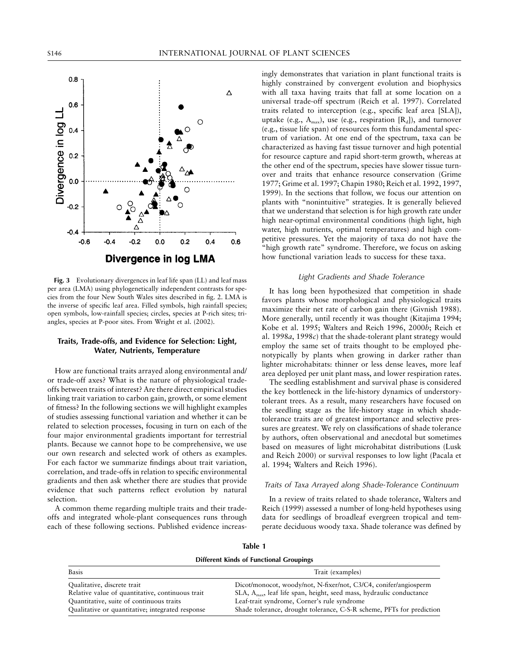

**Fig. 3** Evolutionary divergences in leaf life span (LL) and leaf mass per area (LMA) using phylogenetically independent contrasts for species from the four New South Wales sites described in fig. 2. LMA is the inverse of specific leaf area. Filled symbols, high rainfall species; open symbols, low-rainfall species; circles, species at P-rich sites; triangles, species at P-poor sites. From Wright et al. (2002).

## **Traits, Trade-offs, and Evidence for Selection: Light, Water, Nutrients, Temperature**

How are functional traits arrayed along environmental and/ or trade-off axes? What is the nature of physiological tradeoffs between traits of interest? Are there direct empirical studies linking trait variation to carbon gain, growth, or some element of fitness? In the following sections we will highlight examples of studies assessing functional variation and whether it can be related to selection processes, focusing in turn on each of the four major environmental gradients important for terrestrial plants. Because we cannot hope to be comprehensive, we use our own research and selected work of others as examples. For each factor we summarize findings about trait variation, correlation, and trade-offs in relation to specific environmental gradients and then ask whether there are studies that provide evidence that such patterns reflect evolution by natural selection.

A common theme regarding multiple traits and their tradeoffs and integrated whole-plant consequences runs through each of these following sections. Published evidence increasingly demonstrates that variation in plant functional traits is highly constrained by convergent evolution and biophysics with all taxa having traits that fall at some location on a universal trade-off spectrum (Reich et al. 1997). Correlated traits related to interception (e.g., specific leaf area [SLA]), uptake (e.g.,  $A_{max}$ ), use (e.g., respiration [ $R_d$ ]), and turnover (e.g., tissue life span) of resources form this fundamental spectrum of variation. At one end of the spectrum, taxa can be characterized as having fast tissue turnover and high potential for resource capture and rapid short-term growth, whereas at the other end of the spectrum, species have slower tissue turnover and traits that enhance resource conservation (Grime 1977; Grime et al. 1997; Chapin 1980; Reich et al. 1992, 1997, 1999). In the sections that follow, we focus our attention on plants with "nonintuitive" strategies. It is generally believed that we understand that selection is for high growth rate under high near-optimal environmental conditions (high light, high water, high nutrients, optimal temperatures) and high competitive pressures. Yet the majority of taxa do not have the "high growth rate" syndrome. Therefore, we focus on asking how functional variation leads to success for these taxa.

#### *Light Gradients and Shade Tolerance*

It has long been hypothesized that competition in shade favors plants whose morphological and physiological traits maximize their net rate of carbon gain there (Givnish 1988). More generally, until recently it was thought (Kitajima 1994; Kobe et al. 1995; Walters and Reich 1996, 2000*b*; Reich et al. 1998*a*, 1998*c*) that the shade-tolerant plant strategy would employ the same set of traits thought to be employed phenotypically by plants when growing in darker rather than lighter microhabitats: thinner or less dense leaves, more leaf area deployed per unit plant mass, and lower respiration rates.

The seedling establishment and survival phase is considered the key bottleneck in the life-history dynamics of understorytolerant trees. As a result, many researchers have focused on the seedling stage as the life-history stage in which shadetolerance traits are of greatest importance and selective pressures are greatest. We rely on classifications of shade tolerance by authors, often observational and anecdotal but sometimes based on measures of light microhabitat distributions (Lusk and Reich 2000) or survival responses to low light (Pacala et al. 1994; Walters and Reich 1996).

## *Traits of Taxa Arrayed along Shade-Tolerance Continuum*

In a review of traits related to shade tolerance, Walters and Reich (1999) assessed a number of long-held hypotheses using data for seedlings of broadleaf evergreen tropical and temperate deciduous woody taxa. Shade tolerance was defined by

| <b>Different Kinds of Functional Groupings</b> |  |
|------------------------------------------------|--|
|------------------------------------------------|--|

| <b>Basis</b>                                                                                 | Trait (examples)                                                                                                                   |
|----------------------------------------------------------------------------------------------|------------------------------------------------------------------------------------------------------------------------------------|
| Qualitative, discrete trait                                                                  | Dicot/monocot, woody/not, N-fixer/not, C3/C4, conifer/angiosperm                                                                   |
| Relative value of quantitative, continuous trait<br>Quantitative, suite of continuous traits | $SLA$ , $A_{\text{max}}$ , leaf life span, height, seed mass, hydraulic conductance<br>Leaf-trait syndrome, Corner's rule syndrome |
| Qualitative or quantitative; integrated response                                             | Shade tolerance, drought tolerance, C-S-R scheme, PFTs for prediction                                                              |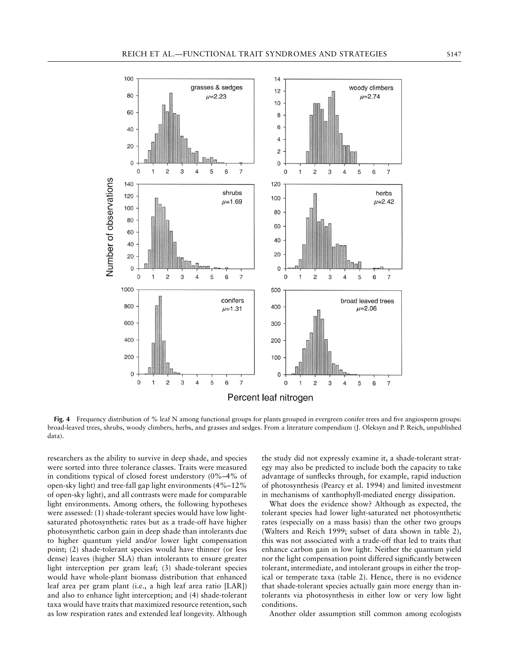

**Fig. 4** Frequency distribution of % leaf N among functional groups for plants grouped in evergreen conifer trees and five angiosperm groups: broad-leaved trees, shrubs, woody climbers, herbs, and grasses and sedges. From a literature compendium (J. Oleksyn and P. Reich, unpublished data).

researchers as the ability to survive in deep shade, and species were sorted into three tolerance classes. Traits were measured in conditions typical of closed forest understory (0%–4% of open-sky light) and tree-fall gap light environments (4%–12% of open-sky light), and all contrasts were made for comparable light environments. Among others, the following hypotheses were assessed: (1) shade-tolerant species would have low lightsaturated photosynthetic rates but as a trade-off have higher photosynthetic carbon gain in deep shade than intolerants due to higher quantum yield and/or lower light compensation point; (2) shade-tolerant species would have thinner (or less dense) leaves (higher SLA) than intolerants to ensure greater light interception per gram leaf; (3) shade-tolerant species would have whole-plant biomass distribution that enhanced leaf area per gram plant (i.e., a high leaf area ratio [LAR]) and also to enhance light interception; and (4) shade-tolerant taxa would have traits that maximized resource retention, such as low respiration rates and extended leaf longevity. Although

the study did not expressly examine it, a shade-tolerant strategy may also be predicted to include both the capacity to take advantage of sunflecks through, for example, rapid induction of photosynthesis (Pearcy et al. 1994) and limited investment in mechanisms of xanthophyll-mediated energy dissipation.

What does the evidence show? Although as expected, the tolerant species had lower light-saturated net photosynthetic rates (especially on a mass basis) than the other two groups (Walters and Reich 1999; subset of data shown in table 2), this was not associated with a trade-off that led to traits that enhance carbon gain in low light. Neither the quantum yield nor the light compensation point differed significantly between tolerant, intermediate, and intolerant groups in either the tropical or temperate taxa (table 2). Hence, there is no evidence that shade-tolerant species actually gain more energy than intolerants via photosynthesis in either low or very low light conditions.

Another older assumption still common among ecologists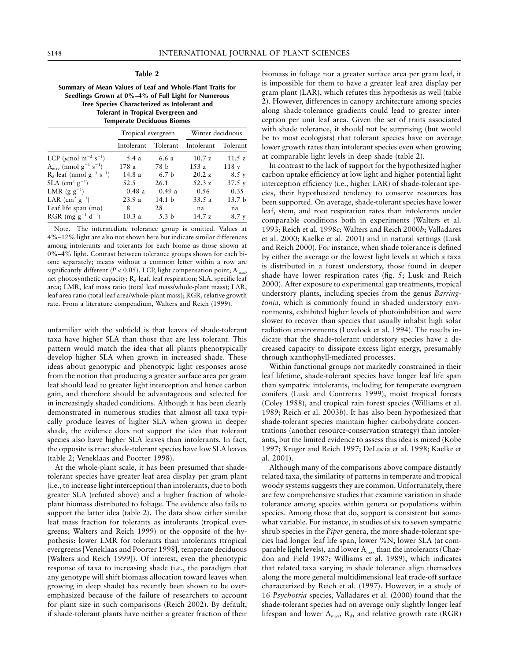## **Table 2**

**Summary of Mean Values of Leaf and Whole-Plant Traits for Seedlings Grown at 0%–4% of Full Light for Numerous Tree Species Characterized as Intolerant and Tolerant in Tropical Evergreen and Temperate Deciduous Biomes**

|                                                   | Tropical evergreen |                   | Winter deciduous    |                   |
|---------------------------------------------------|--------------------|-------------------|---------------------|-------------------|
|                                                   | Intolerant         |                   | Tolerant Intolerant | Tolerant          |
| LCP ( $\mu$ mol m <sup>-2</sup> s <sup>-1</sup> ) | 5.4 a              | 6.6 a             | 10.7 z              | 11.5 z            |
| $A_{\text{max}}$ (nmol $g^{-1}$ s <sup>-1</sup> ) | 178 a              | 78 h              | 153z                | 118y              |
| $R_d$ -leaf (nmol $g^{-1}$ s <sup>-1</sup> )      | 14.8 a             | 6.7 <sub>b</sub>  | 20.2 z              | 8.5 y             |
| $SLA$ (cm <sup>2</sup> g <sup>-1</sup> )          | 52.5               | 26.1              | $52.3\ z$           | 37.5y             |
| LMR $(g g^{-1})$                                  | 0.48a              | 0.49a             | 0.56                | 0.35              |
| LAR $(cm^{2} g^{-1})$                             | 23.9a              | 14.1 <sub>b</sub> | 33.5 a              | 13.7 <sub>b</sub> |
| Leaf life span (mo)                               | 8                  | 28                | na                  | na                |
| RGR (mg $g^{-1}$ d <sup>-1</sup> )                | 10.3a              | 5.3 b             | 14.7z               | 8.7y              |

Note. The intermediate tolerance group is omitted. Values at 4%–12% light are also not shown here but indicate similar differences among intolerants and tolerants for each biome as those shown at 0%–4% light. Contrast between tolerance groups shown for each biome separately; means without a common letter within a row are significantly different ( $P < 0.05$ ). LCP, light compensation point;  $A_{\text{max}}$ , net photosynthetic capacity; R<sub>d</sub>-leaf, leaf respiration; SLA, specific leaf area; LMR, leaf mass ratio (total leaf mass/whole-plant mass); LAR, leaf area ratio (total leaf area/whole-plant mass); RGR, relative growth rate. From a literature compendium, Walters and Reich (1999).

unfamiliar with the subfield is that leaves of shade-tolerant taxa have higher SLA than those that are less tolerant. This pattern would match the idea that all plants phenotypically develop higher SLA when grown in increased shade. These ideas about genotypic and phenotypic light responses arose from the notion that producing a greater surface area per gram leaf should lead to greater light interception and hence carbon gain, and therefore should be advantageous and selected for in increasingly shaded conditions. Although it has been clearly demonstrated in numerous studies that almost all taxa typically produce leaves of higher SLA when grown in deeper shade, the evidence does not support the idea that tolerant species also have higher SLA leaves than intolerants. In fact, the opposite is true: shade-tolerant species have low SLA leaves (table 2; Veneklaas and Poorter 1998).

At the whole-plant scale, it has been presumed that shadetolerant species have greater leaf area display per gram plant (i.e., to increase light interception) than intolerants, due to both greater SLA (refuted above) and a higher fraction of wholeplant biomass distributed to foliage. The evidence also fails to support the latter idea (table 2). The data show either similar leaf mass fraction for tolerants as intolerants (tropical evergreens; Walters and Reich 1999) or the opposite of the hypothesis: lower LMR for tolerants than intolerants (tropical evergreens [Veneklaas and Poorter 1998], temperate deciduous [Walters and Reich 1999]). Of interest, even the phenotypic response of taxa to increasing shade (i.e., the paradigm that any genotype will shift biomass allocation toward leaves when growing in deep shade) has recently been shown to be overemphasized because of the failure of researchers to account for plant size in such comparisons (Reich 2002). By default, if shade-tolerant plants have neither a greater fraction of their

biomass in foliage nor a greater surface area per gram leaf, it is impossible for them to have a greater leaf area display per gram plant (LAR), which refutes this hypothesis as well (table 2). However, differences in canopy architecture among species along shade-tolerance gradients could lead to greater interception per unit leaf area. Given the set of traits associated with shade tolerance, it should not be surprising (but would be to most ecologists) that tolerant species have on average lower growth rates than intolerant species even when growing at comparable light levels in deep shade (table 2).

In contrast to the lack of support for the hypothesized higher carbon uptake efficiency at low light and higher potential light interception efficiency (i.e., higher LAR) of shade-tolerant species, their hypothesized tendency to conserve resources has been supported. On average, shade-tolerant species have lower leaf, stem, and root respiration rates than intolerants under comparable conditions both in experiments (Walters et al. 1993; Reich et al. 1998*c*; Walters and Reich 2000*b*; Valladares et al. 2000; Kaelke et al. 2001) and in natural settings (Lusk and Reich 2000). For instance, when shade tolerance is defined by either the average or the lowest light levels at which a taxa is distributed in a forest understory, those found in deeper shade have lower respiration rates (fig. 5; Lusk and Reich 2000). After exposure to experimental gap treatments, tropical understory plants, including species from the genus *Barringtonia*, which is commonly found in shaded understory environments, exhibited higher levels of photoinhibition and were slower to recover than species that usually inhabit high solar radiation environments (Lovelock et al. 1994). The results indicate that the shade-tolerant understory species have a decreased capacity to dissipate excess light energy, presumably through xanthophyll-mediated processes.

Within functional groups not markedly constrained in their leaf lifetime, shade-tolerant species have longer leaf life span than sympatric intolerants, including for temperate evergreen conifers (Lusk and Contreras 1999), moist tropical forests (Coley 1988), and tropical rain forest species (Williams et al. 1989; Reich et al. 2003*b*). It has also been hypothesized that shade-tolerant species maintain higher carbohydrate concentrations (another resource-conservation strategy) than intolerants, but the limited evidence to assess this idea is mixed (Kobe 1997; Kruger and Reich 1997; DeLucia et al. 1998; Kaelke et al. 2001).

Although many of the comparisons above compare distantly related taxa, the similarity of patterns in temperate and tropical woody systems suggests they are common. Unfortunately, there are few comprehensive studies that examine variation in shade tolerance among species within genera or populations within species. Among those that do, support is consistent but somewhat variable. For instance, in studies of six to seven sympatric shrub species in the *Piper* genera, the more shade-tolerant species had longer leaf life span, lower %N, lower SLA (at comparable light levels), and lower A<sub>max</sub> than the intolerants (Chazdon and Field 1987; Williams et al. 1989), which indicates that related taxa varying in shade tolerance align themselves along the more general multidimensional leaf trade-off surface characterized by Reich et al. (1997). However, in a study of 16 *Psychotria* species, Valladares et al. (2000) found that the shade-tolerant species had on average only slightly longer leaf lifespan and lower  $A_{\text{max}}$ ,  $R_d$ , and relative growth rate (RGR)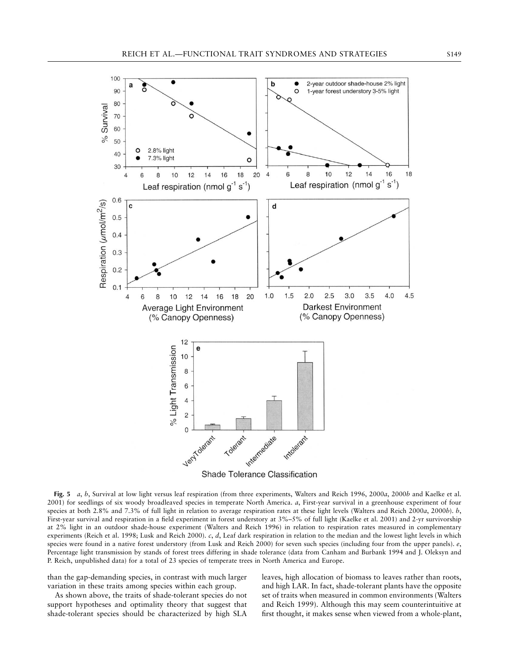

**Fig. 5** *a*, *b*, Survival at low light versus leaf respiration (from three experiments, Walters and Reich 1996, 2000*a*, 2000*b* and Kaelke et al. 2001) for seedlings of six woody broadleaved species in temperate North America. *a*, First-year survival in a greenhouse experiment of four species at both 2.8% and 7.3% of full light in relation to average respiration rates at these light levels (Walters and Reich 2000*a*, 2000*b*). *b*, First-year survival and respiration in a field experiment in forest understory at 3%–5% of full light (Kaelke et al. 2001) and 2-yr survivorship at 2% light in an outdoor shade-house experiment (Walters and Reich 1996) in relation to respiration rates measured in complementary experiments (Reich et al. 1998; Lusk and Reich 2000). *c*, *d*, Leaf dark respiration in relation to the median and the lowest light levels in which species were found in a native forest understory (from Lusk and Reich 2000) for seven such species (including four from the upper panels). *e*, Percentage light transmission by stands of forest trees differing in shade tolerance (data from Canham and Burbank 1994 and J. Oleksyn and P. Reich, unpublished data) for a total of 23 species of temperate trees in North America and Europe.

than the gap-demanding species, in contrast with much larger variation in these traits among species within each group.

As shown above, the traits of shade-tolerant species do not support hypotheses and optimality theory that suggest that shade-tolerant species should be characterized by high SLA

leaves, high allocation of biomass to leaves rather than roots, and high LAR. In fact, shade-tolerant plants have the opposite set of traits when measured in common environments (Walters and Reich 1999). Although this may seem counterintuitive at first thought, it makes sense when viewed from a whole-plant,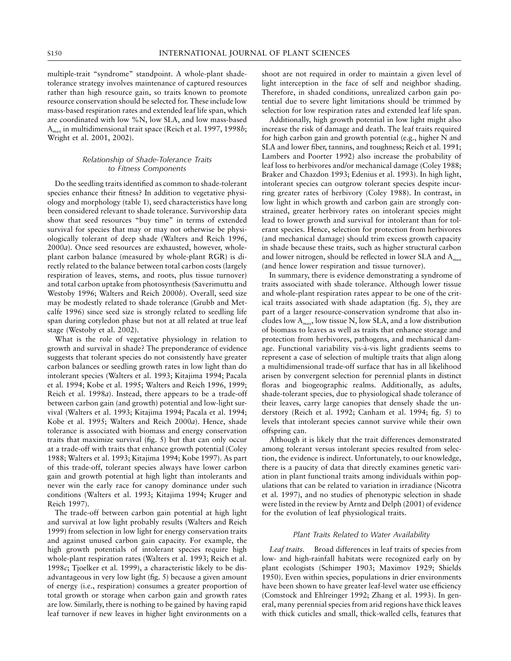multiple-trait "syndrome" standpoint. A whole-plant shadetolerance strategy involves maintenance of captured resources rather than high resource gain, so traits known to promote resource conservation should be selected for. These include low mass-based respiration rates and extended leaf life span, which are coordinated with low %N, low SLA, and low mass-based Amax in multidimensional trait space (Reich et al. 1997, 1998*b*; Wright et al. 2001, 2002).

## *Relationship of Shade-Tolerance Traits to Fitness Components*

Do the seedling traits identified as common to shade-tolerant species enhance their fitness? In addition to vegetative physiology and morphology (table 1), seed characteristics have long been considered relevant to shade tolerance. Survivorship data show that seed resources "buy time" in terms of extended survival for species that may or may not otherwise be physiologically tolerant of deep shade (Walters and Reich 1996, 2000*a*). Once seed resources are exhausted, however, wholeplant carbon balance (measured by whole-plant RGR) is directly related to the balance between total carbon costs (largely respiration of leaves, stems, and roots, plus tissue turnover) and total carbon uptake from photosynthesis (Saverimuttu and Westoby 1996; Walters and Reich 2000*b*). Overall, seed size may be modestly related to shade tolerance (Grubb and Metcalfe 1996) since seed size is strongly related to seedling life span during cotyledon phase but not at all related at true leaf stage (Westoby et al. 2002).

What is the role of vegetative physiology in relation to growth and survival in shade? The preponderance of evidence suggests that tolerant species do not consistently have greater carbon balances or seedling growth rates in low light than do intolerant species (Walters et al. 1993; Kitajima 1994; Pacala et al. 1994; Kobe et al. 1995; Walters and Reich 1996, 1999; Reich et al. 1998*a*). Instead, there appears to be a trade-off between carbon gain (and growth) potential and low-light survival (Walters et al. 1993; Kitajima 1994; Pacala et al. 1994; Kobe et al. 1995; Walters and Reich 2000*a*). Hence, shade tolerance is associated with biomass and energy conservation traits that maximize survival (fig. 5) but that can only occur at a trade-off with traits that enhance growth potential (Coley 1988; Walters et al. 1993; Kitajima 1994; Kobe 1997). As part of this trade-off, tolerant species always have lower carbon gain and growth potential at high light than intolerants and never win the early race for canopy dominance under such conditions (Walters et al. 1993; Kitajima 1994; Kruger and Reich 1997).

The trade-off between carbon gain potential at high light and survival at low light probably results (Walters and Reich 1999) from selection in low light for energy conservation traits and against unused carbon gain capacity. For example, the high growth potentials of intolerant species require high whole-plant respiration rates (Walters et al. 1993; Reich et al. 1998*c*; Tjoelker et al. 1999), a characteristic likely to be disadvantageous in very low light (fig. 5) because a given amount of energy (i.e., respiration) consumes a greater proportion of total growth or storage when carbon gain and growth rates are low. Similarly, there is nothing to be gained by having rapid leaf turnover if new leaves in higher light environments on a

shoot are not required in order to maintain a given level of light interception in the face of self and neighbor shading. Therefore, in shaded conditions, unrealized carbon gain potential due to severe light limitations should be trimmed by selection for low respiration rates and extended leaf life span.

Additionally, high growth potential in low light might also increase the risk of damage and death. The leaf traits required for high carbon gain and growth potential (e.g., higher N and SLA and lower fiber, tannins, and toughness; Reich et al. 1991; Lambers and Poorter 1992) also increase the probability of leaf loss to herbivores and/or mechanical damage (Coley 1988; Braker and Chazdon 1993; Edenius et al. 1993). In high light, intolerant species can outgrow tolerant species despite incurring greater rates of herbivory (Coley 1988). In contrast, in low light in which growth and carbon gain are strongly constrained, greater herbivory rates on intolerant species might lead to lower growth and survival for intolerant than for tolerant species. Hence, selection for protection from herbivores (and mechanical damage) should trim excess growth capacity in shade because these traits, such as higher structural carbon and lower nitrogen, should be reflected in lower SLA and  $A_{max}$ (and hence lower respiration and tissue turnover).

In summary, there is evidence demonstrating a syndrome of traits associated with shade tolerance. Although lower tissue and whole-plant respiration rates appear to be one of the critical traits associated with shade adaptation (fig. 5), they are part of a larger resource-conservation syndrome that also includes low  $A_{\text{max}}$ , low tissue N, low SLA, and a low distribution of biomass to leaves as well as traits that enhance storage and protection from herbivores, pathogens, and mechanical damage. Functional variability vis-à-vis light gradients seems to represent a case of selection of multiple traits that align along a multidimensional trade-off surface that has in all likelihood arisen by convergent selection for perennial plants in distinct floras and biogeographic realms. Additionally, as adults, shade-tolerant species, due to physiological shade tolerance of their leaves, carry large canopies that densely shade the understory (Reich et al. 1992; Canham et al. 1994; fig. 5) to levels that intolerant species cannot survive while their own offspring can.

Although it is likely that the trait differences demonstrated among tolerant versus intolerant species resulted from selection, the evidence is indirect. Unfortunately, to our knowledge, there is a paucity of data that directly examines genetic variation in plant functional traits among individuals within populations that can be related to variation in irradiance (Nicotra et al. 1997), and no studies of phenotypic selection in shade were listed in the review by Arntz and Delph (2001) of evidence for the evolution of leaf physiological traits.

### *Plant Traits Related to Water Availability*

*Leaf traits.* Broad differences in leaf traits of species from low- and high-rainfall habitats were recognized early on by plant ecologists (Schimper 1903; Maximov 1929; Shields 1950). Even within species, populations in drier environments have been shown to have greater leaf-level water use efficiency (Comstock and Ehlreinger 1992; Zhang et al. 1993). In general, many perennial species from arid regions have thick leaves with thick cuticles and small, thick-walled cells, features that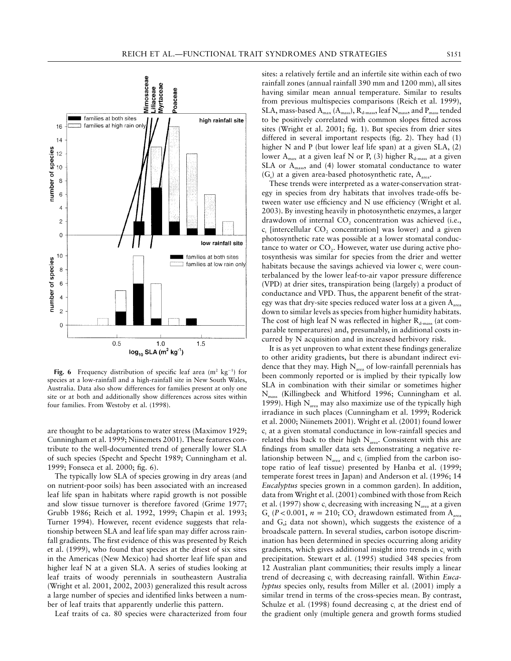

Fig. 6 Frequency distribution of specific leaf area  $(m^2 \text{ kg}^{-1})$  for species at a low-rainfall and a high-rainfall site in New South Wales, Australia. Data also show differences for families present at only one site or at both and additionally show differences across sites within four families. From Westoby et al. (1998).

are thought to be adaptations to water stress (Maximov 1929; Cunningham et al. 1999; Niinemets 2001). These features contribute to the well-documented trend of generally lower SLA of such species (Specht and Specht 1989; Cunningham et al. 1999; Fonseca et al. 2000; fig. 6).

The typically low SLA of species growing in dry areas (and on nutrient-poor soils) has been associated with an increased leaf life span in habitats where rapid growth is not possible and slow tissue turnover is therefore favored (Grime 1977; Grubb 1986; Reich et al. 1992, 1999; Chapin et al. 1993; Turner 1994). However, recent evidence suggests that relationship between SLA and leaf life span may differ across rainfall gradients. The first evidence of this was presented by Reich et al. (1999), who found that species at the driest of six sites in the Americas (New Mexico) had shorter leaf life span and higher leaf N at a given SLA. A series of studies looking at leaf traits of woody perennials in southeastern Australia (Wright et al. 2001, 2002, 2003) generalized this result across a large number of species and identified links between a number of leaf traits that apparently underlie this pattern.

Leaf traits of ca. 80 species were characterized from four

sites: a relatively fertile and an infertile site within each of two rainfall zones (annual rainfall 390 mm and 1200 mm), all sites having similar mean annual temperature. Similar to results from previous multispecies comparisons (Reich et al. 1999), SLA, mass-based  $A_{\text{max}}$  ( $A_{\text{mass}}$ ),  $R_{\text{d-mass}}$ , leaf  $N_{\text{mass}}$ , and  $P_{\text{mass}}$  tended to be positively correlated with common slopes fitted across sites (Wright et al. 2001; fig. 1). But species from drier sites differed in several important respects (fig. 2). They had (1) higher N and P (but lower leaf life span) at a given SLA, (2) lower  $A_{\text{max}}$  at a given leaf N or P, (3) higher  $R_{d\text{-mass}}$  at a given SLA or  $A_{\text{mass}}$ , and (4) lower stomatal conductance to water  $(G<sub>s</sub>)$  at a given area-based photosynthetic rate,  $A<sub>area</sub>$ .

These trends were interpreted as a water-conservation strategy in species from dry habitats that involves trade-offs between water use efficiency and N use efficiency (Wright et al. 2003). By investing heavily in photosynthetic enzymes, a larger drawdown of internal  $CO<sub>2</sub>$  concentration was achieved (i.e.,  $c_i$  [intercellular  $CO_2$  concentration] was lower) and a given photosynthetic rate was possible at a lower stomatal conductance to water or  $CO<sub>2</sub>$ . However, water use during active photosynthesis was similar for species from the drier and wetter habitats because the savings achieved via lower  $c<sub>i</sub>$  were counterbalanced by the lower leaf-to-air vapor pressure difference (VPD) at drier sites, transpiration being (largely) a product of conductance and VPD. Thus, the apparent benefit of the strategy was that dry-site species reduced water loss at a given  $A<sub>area</sub>$ down to similar levels as species from higher humidity habitats. The cost of high leaf N was reflected in higher  $R_{d\text{-mass}}$  (at comparable temperatures) and, presumably, in additional costs incurred by N acquisition and in increased herbivory risk.

It is as yet unproven to what extent these findings generalize to other aridity gradients, but there is abundant indirect evidence that they may. High  $N_{area}$  of low-rainfall perennials has been commonly reported or is implied by their typically low SLA in combination with their similar or sometimes higher Nmass (Killingbeck and Whitford 1996; Cunningham et al. 1999). High  $N_{area}$  may also maximize use of the typically high irradiance in such places (Cunningham et al. 1999; Roderick et al. 2000; Niinemets 2001). Wright et al. (2001) found lower  $c<sub>i</sub>$  at a given stomatal conductance in low-rainfall species and related this back to their high  $N_{area}$ . Consistent with this are findings from smaller data sets demonstrating a negative relationship between  $N_{area}$  and  $c_i$  (implied from the carbon isotope ratio of leaf tissue) presented by Hanba et al. (1999; temperate forest trees in Japan) and Anderson et al. (1996; 14 *Eucalyptus* species grown in a common garden). In addition, data from Wright et al. (2001) combined with those from Reich et al. (1997) show c<sub>i</sub> decreasing with increasing  $N_{area}$  at a given  $G<sub>s</sub>$  ( $P < 0.001$ ,  $n = 210$ ; CO<sub>2</sub> drawdown estimated from A<sub>area</sub> and  $G_s$ ; data not shown), which suggests the existence of a broadscale pattern. In several studies, carbon isotope discrimination has been determined in species occurring along aridity gradients, which gives additional insight into trends in  $c<sub>i</sub>$  with precipitation. Stewart et al. (1995) studied 348 species from 12 Australian plant communities; their results imply a linear trend of decreasing ci with decreasing rainfall. Within *Eucalyptus* species only, results from Miller et al. (2001) imply a similar trend in terms of the cross-species mean. By contrast, Schulze et al. (1998) found decreasing  $c_i$  at the driest end of the gradient only (multiple genera and growth forms studied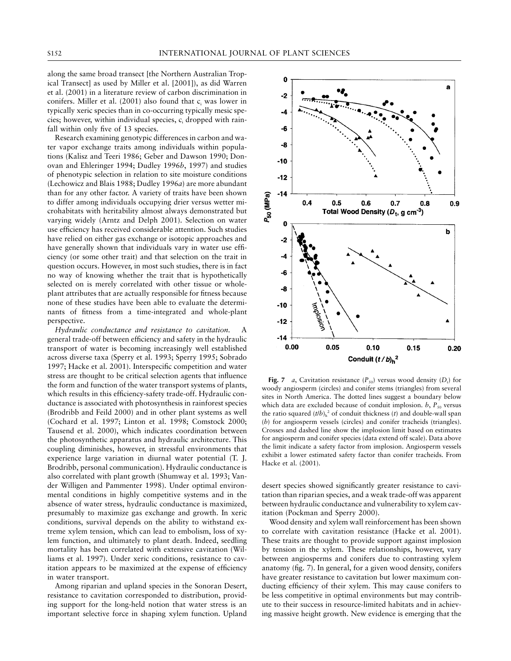along the same broad transect [the Northern Australian Tropical Transect] as used by Miller et al. [2001]), as did Warren et al. (2001) in a literature review of carbon discrimination in conifers. Miller et al. (2001) also found that  $c_i$  was lower in typically xeric species than in co-occurring typically mesic species; however, within individual species,  $c_i$  dropped with rainfall within only five of 13 species.

Research examining genotypic differences in carbon and water vapor exchange traits among individuals within populations (Kalisz and Teeri 1986; Geber and Dawson 1990; Donovan and Ehleringer 1994; Dudley 1996*b*, 1997) and studies of phenotypic selection in relation to site moisture conditions (Lechowicz and Blais 1988; Dudley 1996*a*) are more abundant than for any other factor. A variety of traits have been shown to differ among individuals occupying drier versus wetter microhabitats with heritability almost always demonstrated but varying widely (Arntz and Delph 2001). Selection on water use efficiency has received considerable attention. Such studies have relied on either gas exchange or isotopic approaches and have generally shown that individuals vary in water use efficiency (or some other trait) and that selection on the trait in question occurs. However, in most such studies, there is in fact no way of knowing whether the trait that is hypothetically selected on is merely correlated with other tissue or wholeplant attributes that are actually responsible for fitness because none of these studies have been able to evaluate the determinants of fitness from a time-integrated and whole-plant perspective.

*Hydraulic conductance and resistance to cavitation.* A general trade-off between efficiency and safety in the hydraulic transport of water is becoming increasingly well established across diverse taxa (Sperry et al. 1993; Sperry 1995; Sobrado 1997; Hacke et al. 2001). Interspecific competition and water stress are thought to be critical selection agents that influence the form and function of the water transport systems of plants, which results in this efficiency-safety trade-off. Hydraulic conductance is associated with photosynthesis in rainforest species (Brodribb and Feild 2000) and in other plant systems as well (Cochard et al. 1997; Linton et al. 1998; Comstock 2000; Tausend et al. 2000), which indicates coordination between the photosynthetic apparatus and hydraulic architecture. This coupling diminishes, however, in stressful environments that experience large variation in diurnal water potential (T. J. Brodribb, personal communication). Hydraulic conductance is also correlated with plant growth (Shumway et al. 1993; Vander Willigen and Pammenter 1998). Under optimal environmental conditions in highly competitive systems and in the absence of water stress, hydraulic conductance is maximized, presumably to maximize gas exchange and growth. In xeric conditions, survival depends on the ability to withstand extreme xylem tension, which can lead to embolism, loss of xylem function, and ultimately to plant death. Indeed, seedling mortality has been correlated with extensive cavitation (Williams et al. 1997). Under xeric conditions, resistance to cavitation appears to be maximized at the expense of efficiency in water transport.

Among riparian and upland species in the Sonoran Desert, resistance to cavitation corresponded to distribution, providing support for the long-held notion that water stress is an important selective force in shaping xylem function. Upland



**Fig.** 7 *a*, Cavitation resistance  $(P_{50})$  versus wood density  $(D_t)$  for woody angiosperm (circles) and conifer stems (triangles) from several sites in North America. The dotted lines suggest a boundary below which data are excluded because of conduit implosion.  $b, P_{50}$  versus the ratio squared  $(t/b)_{h}^{2}$  of conduit thickness (*t*) and double-wall span (*b*) for angiosperm vessels (circles) and conifer tracheids (triangles). Crosses and dashed line show the implosion limit based on estimates for angiosperm and conifer species (data extend off scale). Data above the limit indicate a safety factor from implosion. Angiosperm vessels exhibit a lower estimated safety factor than conifer tracheids. From Hacke et al. (2001).

desert species showed significantly greater resistance to cavitation than riparian species, and a weak trade-off was apparent between hydraulic conductance and vulnerability to xylem cavitation (Pockman and Sperry 2000).

Wood density and xylem wall reinforcement has been shown to correlate with cavitation resistance (Hacke et al. 2001). These traits are thought to provide support against implosion by tension in the xylem. These relationships, however, vary between angiosperms and conifers due to contrasting xylem anatomy (fig. 7). In general, for a given wood density, conifers have greater resistance to cavitation but lower maximum conducting efficiency of their xylem. This may cause conifers to be less competitive in optimal environments but may contribute to their success in resource-limited habitats and in achieving massive height growth. New evidence is emerging that the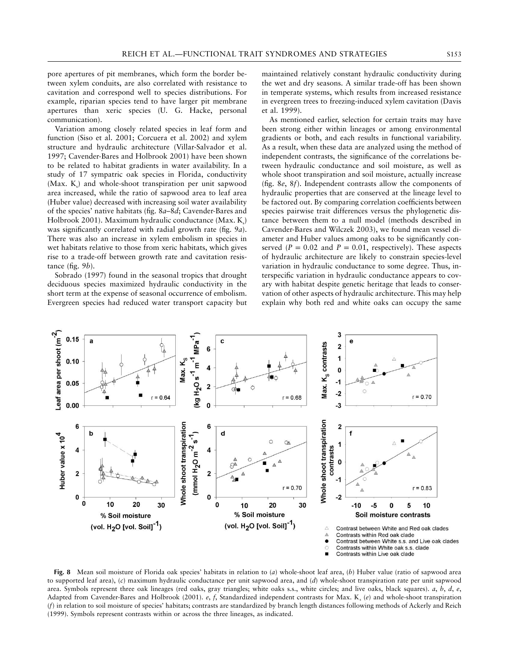pore apertures of pit membranes, which form the border between xylem conduits, are also correlated with resistance to cavitation and correspond well to species distributions. For example, riparian species tend to have larger pit membrane apertures than xeric species (U. G. Hacke, personal communication).

Variation among closely related species in leaf form and function (Siso et al. 2001; Corcuera et al. 2002) and xylem structure and hydraulic architecture (Villar-Salvador et al. 1997; Cavender-Bares and Holbrook 2001) have been shown to be related to habitat gradients in water availability. In a study of 17 sympatric oak species in Florida, conductivity (Max.  $K_s$ ) and whole-shoot transpiration per unit sapwood area increased, while the ratio of sapwood area to leaf area (Huber value) decreased with increasing soil water availability of the species' native habitats (fig. 8*a*–8*d*; Cavender-Bares and Holbrook 2001). Maximum hydraulic conductance (Max. K.) was significantly correlated with radial growth rate (fig. 9*a*). There was also an increase in xylem embolism in species in wet habitats relative to those from xeric habitats, which gives rise to a trade-off between growth rate and cavitation resistance (fig. 9*b*).

Sobrado (1997) found in the seasonal tropics that drought deciduous species maximized hydraulic conductivity in the short term at the expense of seasonal occurrence of embolism. Evergreen species had reduced water transport capacity but

maintained relatively constant hydraulic conductivity during the wet and dry seasons. A similar trade-off has been shown in temperate systems, which results from increased resistance in evergreen trees to freezing-induced xylem cavitation (Davis et al. 1999).

As mentioned earlier, selection for certain traits may have been strong either within lineages or among environmental gradients or both, and each results in functional variability. As a result, when these data are analyzed using the method of independent contrasts, the significance of the correlations between hydraulic conductance and soil moisture, as well as whole shoot transpiration and soil moisture, actually increase (fig. 8*e*, 8*f*). Independent contrasts allow the components of hydraulic properties that are conserved at the lineage level to be factored out. By comparing correlation coefficients between species pairwise trait differences versus the phylogenetic distance between them to a null model (methods described in Cavender-Bares and Wilczek 2003), we found mean vessel diameter and Huber values among oaks to be significantly conserved ( $P = 0.02$  and  $P = 0.01$ , respectively). These aspects of hydraulic architecture are likely to constrain species-level variation in hydraulic conductance to some degree. Thus, interspecific variation in hydraulic conductance appears to covary with habitat despite genetic heritage that leads to conservation of other aspects of hydraulic architecture. This may help explain why both red and white oaks can occupy the same



**Fig. 8** Mean soil moisture of Florida oak species' habitats in relation to (*a*) whole-shoot leaf area, (*b*) Huber value (ratio of sapwood area to supported leaf area), (*c*) maximum hydraulic conductance per unit sapwood area, and (*d*) whole-shoot transpiration rate per unit sapwood area. Symbols represent three oak lineages (red oaks, gray triangles; white oaks s.s., white circles; and live oaks, black squares). *a*, *b*, *d*, *e*, Adapted from Cavender-Bares and Holbrook (2001). *e*, *f*, Standardized independent contrasts for Max. K<sub>s</sub> (*e*) and whole-shoot transpiration (*f*) in relation to soil moisture of species' habitats; contrasts are standardized by branch length distances following methods of Ackerly and Reich (1999). Symbols represent contrasts within or across the three lineages, as indicated.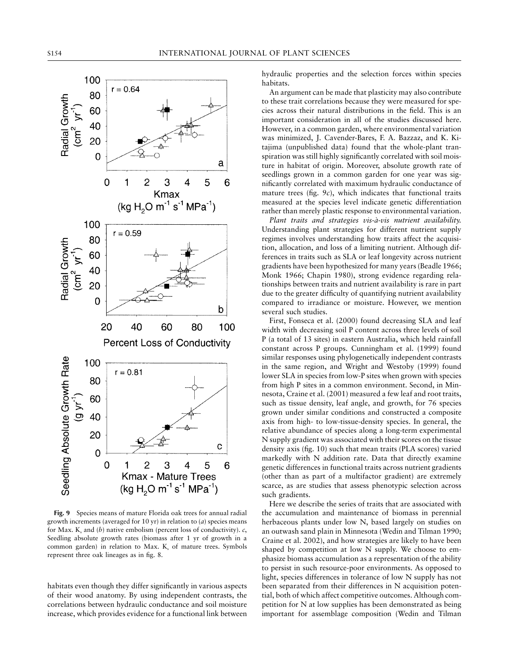

**Fig. 9** Species means of mature Florida oak trees for annual radial growth increments (averaged for 10 yr) in relation to (*a*) species means for Max.  $K_s$  and (*b*) native embolism (percent loss of conductivity).  $c$ , Seedling absolute growth rates (biomass after 1 yr of growth in a common garden) in relation to Max.  $K_s$  of mature trees. Symbols represent three oak lineages as in fig. 8.

habitats even though they differ significantly in various aspects of their wood anatomy. By using independent contrasts, the correlations between hydraulic conductance and soil moisture increase, which provides evidence for a functional link between

hydraulic properties and the selection forces within species habitats.

An argument can be made that plasticity may also contribute to these trait correlations because they were measured for species across their natural distributions in the field. This is an important consideration in all of the studies discussed here. However, in a common garden, where environmental variation was minimized, J. Cavender-Bares, F. A. Bazzaz, and K. Kitajima (unpublished data) found that the whole-plant transpiration was still highly significantly correlated with soil moisture in habitat of origin. Moreover, absolute growth rate of seedlings grown in a common garden for one year was significantly correlated with maximum hydraulic conductance of mature trees (fig. 9*c*), which indicates that functional traits measured at the species level indicate genetic differentiation rather than merely plastic response to environmental variation.

*Plant traits and strategies vis-a`-vis nutrient availability.* Understanding plant strategies for different nutrient supply regimes involves understanding how traits affect the acquisition, allocation, and loss of a limiting nutrient. Although differences in traits such as SLA or leaf longevity across nutrient gradients have been hypothesized for many years (Beadle 1966; Monk 1966; Chapin 1980), strong evidence regarding relationships between traits and nutrient availability is rare in part due to the greater difficulty of quantifying nutrient availability compared to irradiance or moisture. However, we mention several such studies.

First, Fonseca et al. (2000) found decreasing SLA and leaf width with decreasing soil P content across three levels of soil P (a total of 13 sites) in eastern Australia, which held rainfall constant across P groups. Cunningham et al. (1999) found similar responses using phylogenetically independent contrasts in the same region, and Wright and Westoby (1999) found lower SLA in species from low-P sites when grown with species from high P sites in a common environment. Second, in Minnesota, Craine et al. (2001) measured a few leaf and root traits, such as tissue density, leaf angle, and growth, for 76 species grown under similar conditions and constructed a composite axis from high- to low-tissue-density species. In general, the relative abundance of species along a long-term experimental N supply gradient was associated with their scores on the tissue density axis (fig. 10) such that mean traits (PLA scores) varied markedly with N addition rate. Data that directly examine genetic differences in functional traits across nutrient gradients (other than as part of a multifactor gradient) are extremely scarce, as are studies that assess phenotypic selection across such gradients.

Here we describe the series of traits that are associated with the accumulation and maintenance of biomass in perennial herbaceous plants under low N, based largely on studies on an outwash sand plain in Minnesota (Wedin and Tilman 1990; Craine et al. 2002), and how strategies are likely to have been shaped by competition at low N supply. We choose to emphasize biomass accumulation as a representation of the ability to persist in such resource-poor environments. As opposed to light, species differences in tolerance of low N supply has not been separated from their differences in N acquisition potential, both of which affect competitive outcomes. Although competition for N at low supplies has been demonstrated as being important for assemblage composition (Wedin and Tilman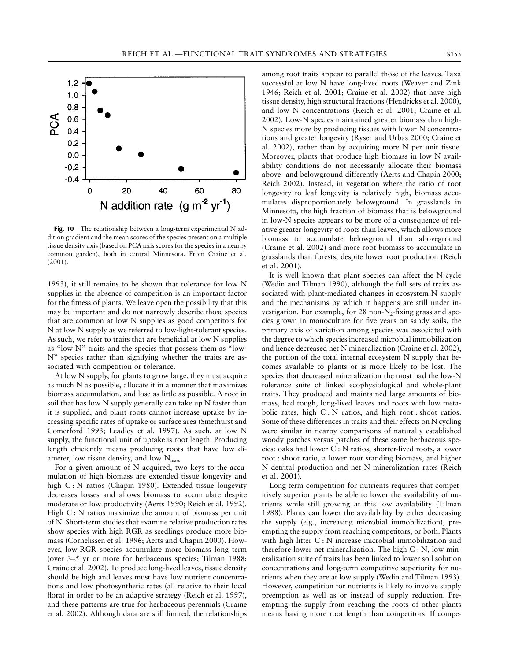

**Fig. 10** The relationship between a long-term experimental N addition gradient and the mean scores of the species present on a multiple tissue density axis (based on PCA axis scores for the species in a nearby common garden), both in central Minnesota. From Craine et al. (2001).

1993), it still remains to be shown that tolerance for low N supplies in the absence of competition is an important factor for the fitness of plants. We leave open the possibility that this may be important and do not narrowly describe those species that are common at low N supplies as good competitors for N at low N supply as we referred to low-light-tolerant species. As such, we refer to traits that are beneficial at low N supplies as "low-N" traits and the species that possess them as "low-N" species rather than signifying whether the traits are associated with competition or tolerance.

At low N supply, for plants to grow large, they must acquire as much N as possible, allocate it in a manner that maximizes biomass accumulation, and lose as little as possible. A root in soil that has low N supply generally can take up N faster than it is supplied, and plant roots cannot increase uptake by increasing specific rates of uptake or surface area (Smethurst and Comerford 1993; Leadley et al. 1997). As such, at low N supply, the functional unit of uptake is root length. Producing length efficiently means producing roots that have low diameter, low tissue density, and low  $N_{\rm mass}$ .

For a given amount of N acquired, two keys to the accumulation of high biomass are extended tissue longevity and high C : N ratios (Chapin 1980). Extended tissue longevity decreases losses and allows biomass to accumulate despite moderate or low productivity (Aerts 1990; Reich et al. 1992). High C : N ratios maximize the amount of biomass per unit of N. Short-term studies that examine relative production rates show species with high RGR as seedlings produce more biomass (Cornelissen et al. 1996; Aerts and Chapin 2000). However, low-RGR species accumulate more biomass long term (over 3–5 yr or more for herbaceous species; Tilman 1988; Craine et al. 2002). To produce long-lived leaves, tissue density should be high and leaves must have low nutrient concentrations and low photosynthetic rates (all relative to their local flora) in order to be an adaptive strategy (Reich et al. 1997), and these patterns are true for herbaceous perennials (Craine et al. 2002). Although data are still limited, the relationships

among root traits appear to parallel those of the leaves. Taxa successful at low N have long-lived roots (Weaver and Zink 1946; Reich et al. 2001; Craine et al. 2002) that have high tissue density, high structural fractions (Hendricks et al. 2000), and low N concentrations (Reich et al. 2001; Craine et al. 2002). Low-N species maintained greater biomass than high-N species more by producing tissues with lower N concentrations and greater longevity (Ryser and Urbas 2000; Craine et al. 2002), rather than by acquiring more N per unit tissue. Moreover, plants that produce high biomass in low N availability conditions do not necessarily allocate their biomass above- and belowground differently (Aerts and Chapin 2000; Reich 2002). Instead, in vegetation where the ratio of root longevity to leaf longevity is relatively high, biomass accumulates disproportionately belowground. In grasslands in Minnesota, the high fraction of biomass that is belowground in low-N species appears to be more of a consequence of relative greater longevity of roots than leaves, which allows more biomass to accumulate belowground than aboveground (Craine et al. 2002) and more root biomass to accumulate in grasslands than forests, despite lower root production (Reich et al. 2001).

It is well known that plant species can affect the N cycle (Wedin and Tilman 1990), although the full sets of traits associated with plant-mediated changes in ecosystem N supply and the mechanisms by which it happens are still under investigation. For example, for 28 non- $N<sub>2</sub>$ -fixing grassland species grown in monoculture for five years on sandy soils, the primary axis of variation among species was associated with the degree to which species increased microbial immobilization and hence decreased net N mineralization (Craine et al. 2002), the portion of the total internal ecosystem N supply that becomes available to plants or is more likely to be lost. The species that decreased mineralization the most had the low-N tolerance suite of linked ecophysiological and whole-plant traits. They produced and maintained large amounts of biomass, had tough, long-lived leaves and roots with low metabolic rates, high C : N ratios, and high root : shoot ratios. Some of these differences in traits and their effects on N cycling were similar in nearby comparisons of naturally established woody patches versus patches of these same herbaceous species: oaks had lower C : N ratios, shorter-lived roots, a lower root : shoot ratio, a lower root standing biomass, and higher N detrital production and net N mineralization rates (Reich et al. 2001).

Long-term competition for nutrients requires that competitively superior plants be able to lower the availability of nutrients while still growing at this low availability (Tilman 1988). Plants can lower the availability by either decreasing the supply (e.g., increasing microbial immobilization), preempting the supply from reaching competitors, or both. Plants with high litter C : N increase microbial immobilization and therefore lower net mineralization. The high C : N, low mineralization suite of traits has been linked to lower soil solution concentrations and long-term competitive superiority for nutrients when they are at low supply (Wedin and Tilman 1993). However, competition for nutrients is likely to involve supply preemption as well as or instead of supply reduction. Preempting the supply from reaching the roots of other plants means having more root length than competitors. If compe-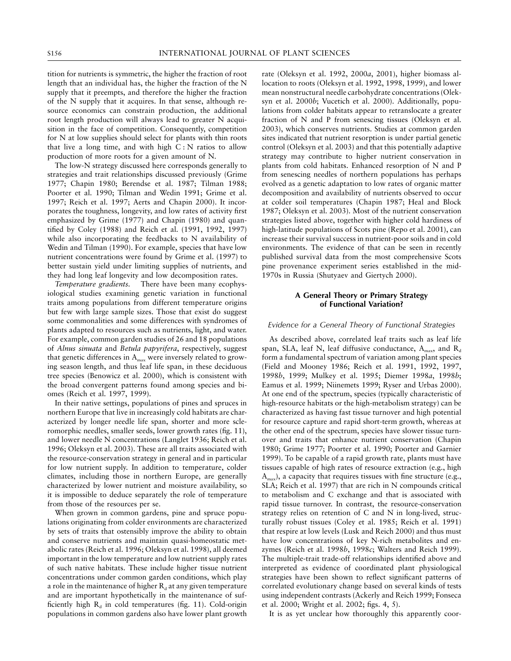tition for nutrients is symmetric, the higher the fraction of root length that an individual has, the higher the fraction of the N supply that it preempts, and therefore the higher the fraction of the N supply that it acquires. In that sense, although resource economics can constrain production, the additional root length production will always lead to greater N acquisition in the face of competition. Consequently, competition for N at low supplies should select for plants with thin roots that live a long time, and with high  $C : N$  ratios to allow production of more roots for a given amount of N.

The low-N strategy discussed here corresponds generally to strategies and trait relationships discussed previously (Grime 1977; Chapin 1980; Berendse et al. 1987; Tilman 1988; Poorter et al. 1990; Tilman and Wedin 1991; Grime et al. 1997; Reich et al. 1997; Aerts and Chapin 2000). It incorporates the toughness, longevity, and low rates of activity first emphasized by Grime (1977) and Chapin (1980) and quantified by Coley (1988) and Reich et al. (1991, 1992, 1997) while also incorporating the feedbacks to N availability of Wedin and Tilman (1990). For example, species that have low nutrient concentrations were found by Grime et al. (1997) to better sustain yield under limiting supplies of nutrients, and they had long leaf longevity and low decomposition rates.

*Temperature gradients.* There have been many ecophysiological studies examining genetic variation in functional traits among populations from different temperature origins but few with large sample sizes. Those that exist do suggest some commonalities and some differences with syndromes of plants adapted to resources such as nutrients, light, and water. For example, common garden studies of 26 and 18 populations of *Alnus sinuata* and *Betula papyrifera*, respectively, suggest that genetic differences in  $A_{\text{max}}$  were inversely related to growing season length, and thus leaf life span, in these deciduous tree species (Benowicz et al. 2000), which is consistent with the broad convergent patterns found among species and biomes (Reich et al. 1997, 1999).

In their native settings, populations of pines and spruces in northern Europe that live in increasingly cold habitats are characterized by longer needle life span, shorter and more scleromorphic needles, smaller seeds, lower growth rates (fig. 11), and lower needle N concentrations (Langlet 1936; Reich et al. 1996; Oleksyn et al. 2003). These are all traits associated with the resource-conservation strategy in general and in particular for low nutrient supply. In addition to temperature, colder climates, including those in northern Europe, are generally characterized by lower nutrient and moisture availability, so it is impossible to deduce separately the role of temperature from those of the resources per se.

When grown in common gardens, pine and spruce populations originating from colder environments are characterized by sets of traits that ostensibly improve the ability to obtain and conserve nutrients and maintain quasi-homeostatic metabolic rates (Reich et al. 1996; Oleksyn et al. 1998), all deemed important in the low temperature and low nutrient supply rates of such native habitats. These include higher tissue nutrient concentrations under common garden conditions, which play a role in the maintenance of higher  $R_d$  at any given temperature and are important hypothetically in the maintenance of sufficiently high  $R_d$  in cold temperatures (fig. 11). Cold-origin populations in common gardens also have lower plant growth rate (Oleksyn et al. 1992, 2000*a*, 2001), higher biomass allocation to roots (Oleksyn et al. 1992, 1998, 1999), and lower mean nonstructural needle carbohydrate concentrations (Oleksyn et al. 2000*b*; Vucetich et al. 2000). Additionally, populations from colder habitats appear to retranslocate a greater fraction of N and P from senescing tissues (Oleksyn et al. 2003), which conserves nutrients. Studies at common garden sites indicated that nutrient resorption is under partial genetic control (Oleksyn et al. 2003) and that this potentially adaptive strategy may contribute to higher nutrient conservation in plants from cold habitats. Enhanced resorption of N and P from senescing needles of northern populations has perhaps evolved as a genetic adaptation to low rates of organic matter decomposition and availability of nutrients observed to occur at colder soil temperatures (Chapin 1987; Heal and Block 1987; Oleksyn et al. 2003). Most of the nutrient conservation strategies listed above, together with higher cold hardiness of high-latitude populations of Scots pine (Repo et al. 2001), can increase their survival success in nutrient-poor soils and in cold environments. The evidence of that can be seen in recently published survival data from the most comprehensive Scots pine provenance experiment series established in the mid-1970s in Russia (Shutyaev and Giertych 2000).

## **A General Theory or Primary Strategy of Functional Variation?**

#### *Evidence for a General Theory of Functional Strategies*

As described above, correlated leaf traits such as leaf life span, SLA, leaf N, leaf diffusive conductance,  $A_{\text{max}}$ , and  $R_{d}$ form a fundamental spectrum of variation among plant species (Field and Mooney 1986; Reich et al. 1991, 1992, 1997, 1998*b*, 1999; Mulkey et al. 1995; Diemer 1998*a*, 1998*b*; Eamus et al. 1999; Niinemets 1999; Ryser and Urbas 2000). At one end of the spectrum, species (typically characteristic of high-resource habitats or the high-metabolism strategy) can be characterized as having fast tissue turnover and high potential for resource capture and rapid short-term growth, whereas at the other end of the spectrum, species have slower tissue turnover and traits that enhance nutrient conservation (Chapin 1980; Grime 1977; Poorter et al. 1990; Poorter and Garnier 1999). To be capable of a rapid growth rate, plants must have tissues capable of high rates of resource extraction (e.g., high  $A<sub>max</sub>$ ), a capacity that requires tissues with fine structure (e.g., SLA; Reich et al. 1997) that are rich in N compounds critical to metabolism and C exchange and that is associated with rapid tissue turnover. In contrast, the resource-conservation strategy relies on retention of C and N in long-lived, structurally robust tissues (Coley et al. 1985; Reich et al. 1991) that respire at low levels (Lusk and Reich 2000) and thus must have low concentrations of key N-rich metabolites and enzymes (Reich et al. 1998*b*, 1998*c*; Walters and Reich 1999). The multiple-trait trade-off relationships identified above and interpreted as evidence of coordinated plant physiological strategies have been shown to reflect significant patterns of correlated evolutionary change based on several kinds of tests using independent contrasts (Ackerly and Reich 1999; Fonseca et al. 2000; Wright et al. 2002; figs. 4, 5).

It is as yet unclear how thoroughly this apparently coor-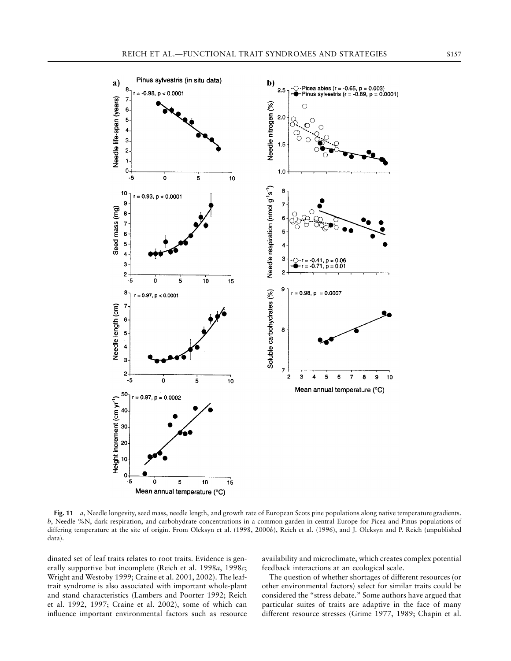

**Fig. 11** *a*, Needle longevity, seed mass, needle length, and growth rate of European Scots pine populations along native temperature gradients. *b*, Needle %N, dark respiration, and carbohydrate concentrations in a common garden in central Europe for Picea and Pinus populations of differing temperature at the site of origin. From Oleksyn et al. (1998, 2000*b*), Reich et al. (1996), and J. Oleksyn and P. Reich (unpublished data).

dinated set of leaf traits relates to root traits. Evidence is generally supportive but incomplete (Reich et al. 1998*a*, 1998*c*; Wright and Westoby 1999; Craine et al. 2001, 2002). The leaftrait syndrome is also associated with important whole-plant and stand characteristics (Lambers and Poorter 1992; Reich et al. 1992, 1997; Craine et al. 2002), some of which can influence important environmental factors such as resource

availability and microclimate, which creates complex potential feedback interactions at an ecological scale.

The question of whether shortages of different resources (or other environmental factors) select for similar traits could be considered the "stress debate." Some authors have argued that particular suites of traits are adaptive in the face of many different resource stresses (Grime 1977, 1989; Chapin et al.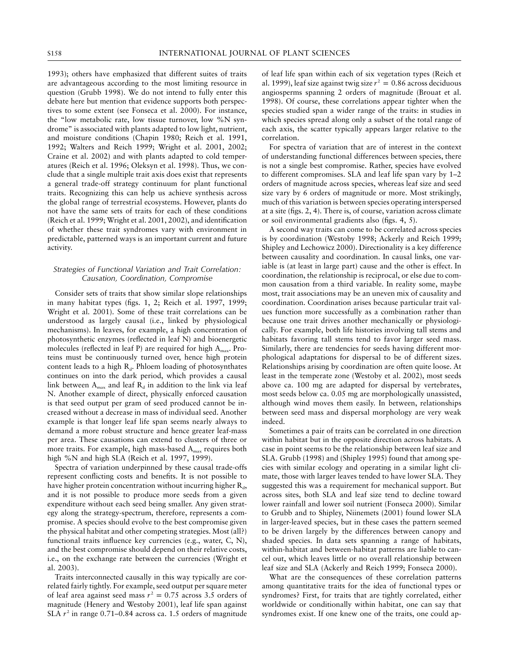1993); others have emphasized that different suites of traits are advantageous according to the most limiting resource in question (Grubb 1998). We do not intend to fully enter this debate here but mention that evidence supports both perspectives to some extent (see Fonseca et al. 2000). For instance, the "low metabolic rate, low tissue turnover, low %N syndrome" is associated with plants adapted to low light, nutrient, and moisture conditions (Chapin 1980; Reich et al. 1991, 1992; Walters and Reich 1999; Wright et al. 2001, 2002; Craine et al. 2002) and with plants adapted to cold temperatures (Reich et al. 1996; Oleksyn et al. 1998). Thus, we conclude that a single multiple trait axis does exist that represents a general trade-off strategy continuum for plant functional traits. Recognizing this can help us achieve synthesis across the global range of terrestrial ecosystems. However, plants do not have the same sets of traits for each of these conditions (Reich et al. 1999; Wright et al. 2001, 2002), and identification of whether these trait syndromes vary with environment in predictable, patterned ways is an important current and future activity.

## *Strategies of Functional Variation and Trait Correlation: Causation, Coordination, Compromise*

Consider sets of traits that show similar slope relationships in many habitat types (figs. 1, 2; Reich et al. 1997, 1999; Wright et al. 2001). Some of these trait correlations can be understood as largely causal (i.e., linked by physiological mechanisms). In leaves, for example, a high concentration of photosynthetic enzymes (reflected in leaf N) and bioenergetic molecules (reflected in leaf P) are required for high  $A_{\text{max}}$ . Proteins must be continuously turned over, hence high protein content leads to a high  $R_d$ . Phloem loading of photosynthates continues on into the dark period, which provides a causal link between  $A_{\text{max}}$  and leaf  $R_d$  in addition to the link via leaf N. Another example of direct, physically enforced causation is that seed output per gram of seed produced cannot be increased without a decrease in mass of individual seed. Another example is that longer leaf life span seems nearly always to demand a more robust structure and hence greater leaf-mass per area. These causations can extend to clusters of three or more traits. For example, high mass-based  $A<sub>max</sub>$  requires both high %N and high SLA (Reich et al. 1997, 1999).

Spectra of variation underpinned by these causal trade-offs represent conflicting costs and benefits. It is not possible to have higher protein concentration without incurring higher  $R_d$ , and it is not possible to produce more seeds from a given expenditure without each seed being smaller. Any given strategy along the strategy-spectrum, therefore, represents a compromise. A species should evolve to the best compromise given the physical habitat and other competing strategies. Most (all?) functional traits influence key currencies (e.g., water, C, N), and the best compromise should depend on their relative costs, i.e., on the exchange rate between the currencies (Wright et al. 2003).

Traits interconnected causally in this way typically are correlated fairly tightly. For example, seed output per square meter of leaf area against seed mass  $r^2 = 0.75$  across 3.5 orders of magnitude (Henery and Westoby 2001), leaf life span against SLA  $r^2$  in range 0.71–0.84 across ca. 1.5 orders of magnitude

of leaf life span within each of six vegetation types (Reich et al. 1999), leaf size against twig size  $r^2 = 0.86$  across deciduous angiosperms spanning 2 orders of magnitude (Brouat et al. 1998). Of course, these correlations appear tighter when the species studied span a wider range of the traits: in studies in which species spread along only a subset of the total range of each axis, the scatter typically appears larger relative to the correlation.

For spectra of variation that are of interest in the context of understanding functional differences between species, there is not a single best compromise. Rather, species have evolved to different compromises. SLA and leaf life span vary by 1–2 orders of magnitude across species, whereas leaf size and seed size vary by 6 orders of magnitude or more. Most strikingly, much of this variation is between species operating interspersed at a site (figs. 2, 4). There is, of course, variation across climate or soil environmental gradients also (figs. 4, 5).

A second way traits can come to be correlated across species is by coordination (Westoby 1998; Ackerly and Reich 1999; Shipley and Lechowicz 2000). Directionality is a key difference between causality and coordination. In causal links, one variable is (at least in large part) cause and the other is effect. In coordination, the relationship is reciprocal, or else due to common causation from a third variable. In reality some, maybe most, trait associations may be an uneven mix of causality and coordination. Coordination arises because particular trait values function more successfully as a combination rather than because one trait drives another mechanically or physiologically. For example, both life histories involving tall stems and habitats favoring tall stems tend to favor larger seed mass. Similarly, there are tendencies for seeds having different morphological adaptations for dispersal to be of different sizes. Relationships arising by coordination are often quite loose. At least in the temperate zone (Westoby et al. 2002), most seeds above ca. 100 mg are adapted for dispersal by vertebrates, most seeds below ca. 0.05 mg are morphologically unassisted, although wind moves them easily. In between, relationships between seed mass and dispersal morphology are very weak indeed.

Sometimes a pair of traits can be correlated in one direction within habitat but in the opposite direction across habitats. A case in point seems to be the relationship between leaf size and SLA. Grubb (1998) and (Shipley 1995) found that among species with similar ecology and operating in a similar light climate, those with larger leaves tended to have lower SLA. They suggested this was a requirement for mechanical support. But across sites, both SLA and leaf size tend to decline toward lower rainfall and lower soil nutrient (Fonseca 2000). Similar to Grubb and to Shipley, Niinemets (2001) found lower SLA in larger-leaved species, but in these cases the pattern seemed to be driven largely by the differences between canopy and shaded species. In data sets spanning a range of habitats, within-habitat and between-habitat patterns are liable to cancel out, which leaves little or no overall relationship between leaf size and SLA (Ackerly and Reich 1999; Fonseca 2000).

What are the consequences of these correlation patterns among quantitative traits for the idea of functional types or syndromes? First, for traits that are tightly correlated, either worldwide or conditionally within habitat, one can say that syndromes exist. If one knew one of the traits, one could ap-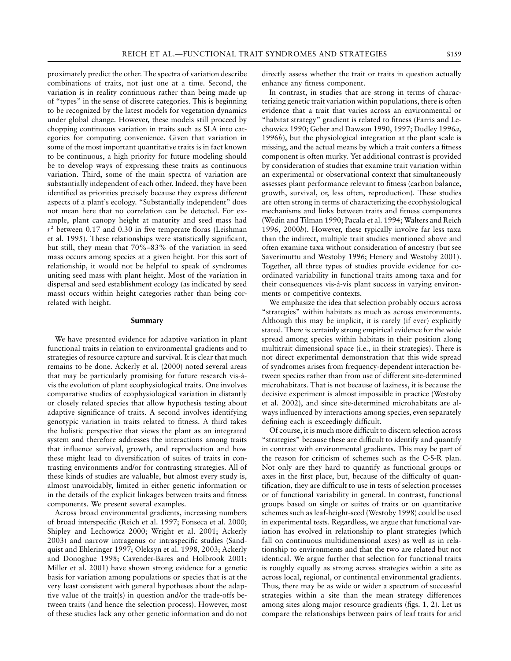proximately predict the other. The spectra of variation describe combinations of traits, not just one at a time. Second, the variation is in reality continuous rather than being made up of "types" in the sense of discrete categories. This is beginning to be recognized by the latest models for vegetation dynamics under global change. However, these models still proceed by chopping continuous variation in traits such as SLA into categories for computing convenience. Given that variation in some of the most important quantitative traits is in fact known to be continuous, a high priority for future modeling should be to develop ways of expressing these traits as continuous variation. Third, some of the main spectra of variation are substantially independent of each other. Indeed, they have been identified as priorities precisely because they express different aspects of a plant's ecology. "Substantially independent" does not mean here that no correlation can be detected. For example, plant canopy height at maturity and seed mass had  $r<sup>2</sup>$  between 0.17 and 0.30 in five temperate floras (Leishman et al. 1995). These relationships were statistically significant, but still, they mean that 70%–83% of the variation in seed mass occurs among species at a given height. For this sort of relationship, it would not be helpful to speak of syndromes uniting seed mass with plant height. Most of the variation in dispersal and seed establishment ecology (as indicated by seed mass) occurs within height categories rather than being correlated with height.

#### **Summary**

We have presented evidence for adaptive variation in plant functional traits in relation to environmental gradients and to strategies of resource capture and survival. It is clear that much remains to be done. Ackerly et al. (2000) noted several areas that may be particularly promising for future research vis-a` vis the evolution of plant ecophysiological traits. One involves comparative studies of ecophysiological variation in distantly or closely related species that allow hypothesis testing about adaptive significance of traits. A second involves identifying genotypic variation in traits related to fitness. A third takes the holistic perspective that views the plant as an integrated system and therefore addresses the interactions among traits that influence survival, growth, and reproduction and how these might lead to diversification of suites of traits in contrasting environments and/or for contrasting strategies. All of these kinds of studies are valuable, but almost every study is, almost unavoidably, limited in either genetic information or in the details of the explicit linkages between traits and fitness components. We present several examples.

Across broad environmental gradients, increasing numbers of broad interspecific (Reich et al. 1997; Fonseca et al. 2000; Shipley and Lechowicz 2000; Wright et al. 2001; Ackerly 2003) and narrow intragenus or intraspecific studies (Sandquist and Ehleringer 1997; Oleksyn et al. 1998, 2003; Ackerly and Donoghue 1998; Cavender-Bares and Holbrook 2001; Miller et al. 2001) have shown strong evidence for a genetic basis for variation among populations or species that is at the very least consistent with general hypotheses about the adaptive value of the trait(s) in question and/or the trade-offs between traits (and hence the selection process). However, most of these studies lack any other genetic information and do not

directly assess whether the trait or traits in question actually enhance any fitness component.

In contrast, in studies that are strong in terms of characterizing genetic trait variation within populations, there is often evidence that a trait that varies across an environmental or "habitat strategy" gradient is related to fitness (Farris and Lechowicz 1990; Geber and Dawson 1990, 1997; Dudley 1996*a*, 1996*b*), but the physiological integration at the plant scale is missing, and the actual means by which a trait confers a fitness component is often murky. Yet additional contrast is provided by consideration of studies that examine trait variation within an experimental or observational context that simultaneously assesses plant performance relevant to fitness (carbon balance, growth, survival, or, less often, reproduction). These studies are often strong in terms of characterizing the ecophysiological mechanisms and links between traits and fitness components (Wedin and Tilman 1990; Pacala et al. 1994; Walters and Reich 1996, 2000*b*). However, these typically involve far less taxa than the indirect, multiple trait studies mentioned above and often examine taxa without consideration of ancestry (but see Saverimuttu and Westoby 1996; Henery and Westoby 2001). Together, all three types of studies provide evidence for coordinated variability in functional traits among taxa and for their consequences vis-a`-vis plant success in varying environments or competitive contexts.

We emphasize the idea that selection probably occurs across "strategies" within habitats as much as across environments. Although this may be implicit, it is rarely (if ever) explicitly stated. There is certainly strong empirical evidence for the wide spread among species within habitats in their position along multitrait dimensional space (i.e., in their strategies). There is not direct experimental demonstration that this wide spread of syndromes arises from frequency-dependent interaction between species rather than from use of different site-determined microhabitats. That is not because of laziness, it is because the decisive experiment is almost impossible in practice (Westoby et al. 2002), and since site-determined microhabitats are always influenced by interactions among species, even separately defining each is exceedingly difficult.

Of course, it is much more difficult to discern selection across "strategies" because these are difficult to identify and quantify in contrast with environmental gradients. This may be part of the reason for criticism of schemes such as the C-S-R plan. Not only are they hard to quantify as functional groups or axes in the first place, but, because of the difficulty of quantification, they are difficult to use in tests of selection processes or of functional variability in general. In contrast, functional groups based on single or suites of traits or on quantitative schemes such as leaf-height-seed (Westoby 1998) could be used in experimental tests. Regardless, we argue that functional variation has evolved in relationship to plant strategies (which fall on continuous multidimensional axes) as well as in relationship to environments and that the two are related but not identical. We argue further that selection for functional traits is roughly equally as strong across strategies within a site as across local, regional, or continental environmental gradients. Thus, there may be as wide or wider a spectrum of successful strategies within a site than the mean strategy differences among sites along major resource gradients (figs. 1, 2). Let us compare the relationships between pairs of leaf traits for arid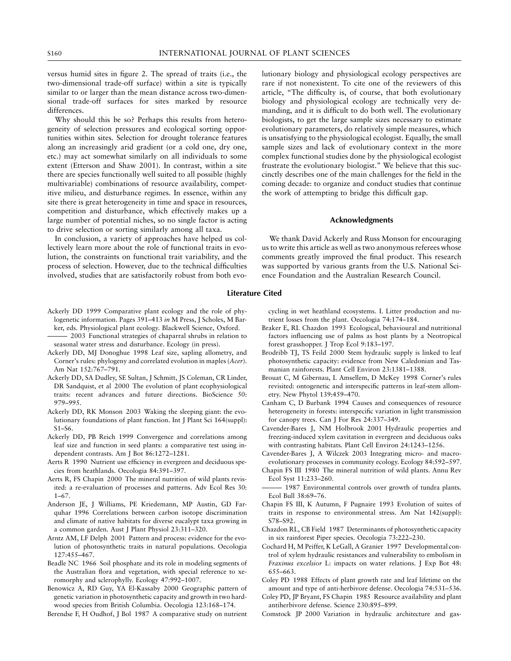versus humid sites in figure 2. The spread of traits (i.e., the two-dimensional trade-off surface) within a site is typically similar to or larger than the mean distance across two-dimensional trade-off surfaces for sites marked by resource differences.

Why should this be so? Perhaps this results from heterogeneity of selection pressures and ecological sorting opportunities within sites. Selection for drought tolerance features along an increasingly arid gradient (or a cold one, dry one, etc.) may act somewhat similarly on all individuals to some extent (Etterson and Shaw 2001). In contrast, within a site there are species functionally well suited to all possible (highly multivariable) combinations of resource availability, competitive milieu, and disturbance regimes. In essence, within any site there is great heterogeneity in time and space in resources, competition and disturbance, which effectively makes up a large number of potential niches, so no single factor is acting to drive selection or sorting similarly among all taxa.

In conclusion, a variety of approaches have helped us collectively learn more about the role of functional traits in evolution, the constraints on functional trait variability, and the process of selection. However, due to the technical difficulties involved, studies that are satisfactorily robust from both evolutionary biology and physiological ecology perspectives are rare if not nonexistent. To cite one of the reviewers of this article, "The difficulty is, of course, that both evolutionary biology and physiological ecology are technically very demanding, and it is difficult to do both well. The evolutionary biologists, to get the large sample sizes necessary to estimate evolutionary parameters, do relatively simple measures, which is unsatisfying to the physiological ecologist. Equally, the small sample sizes and lack of evolutionary context in the more complex functional studies done by the physiological ecologist frustrate the evolutionary biologist." We believe that this succinctly describes one of the main challenges for the field in the coming decade: to organize and conduct studies that continue the work of attempting to bridge this difficult gap.

#### **Acknowledgments**

We thank David Ackerly and Russ Monson for encouraging us to write this article as well as two anonymous referees whose comments greatly improved the final product. This research was supported by various grants from the U.S. National Science Foundation and the Australian Research Council.

#### **Literature Cited**

- Ackerly DD 1999 Comparative plant ecology and the role of phylogenetic information. Pages 391–413 *in* M Press, J Scholes, M Barker, eds. Physiological plant ecology. Blackwell Science, Oxford.
- ——— 2003 Functional strategies of chaparral shrubs in relation to seasonal water stress and disturbance. Ecology (in press).
- Ackerly DD, MJ Donoghue 1998 Leaf size, sapling allometry, and Corner's rules: phylogeny and correlated evolution in maples (*Acer*). Am Nat 152:767–791.
- Ackerly DD, SA Dudley, SE Sultan, J Schmitt, JS Coleman, CR Linder, DR Sandquist, et al 2000 The evolution of plant ecophysiological traits: recent advances and future directions. BioScience 50: 979–995.
- Ackerly DD, RK Monson 2003 Waking the sleeping giant: the evolutionary foundations of plant function. Int J Plant Sci 164(suppl): S1–S6.
- Ackerly DD, PB Reich 1999 Convergence and correlations among leaf size and function in seed plants: a comparative test using independent contrasts. Am J Bot 86:1272–1281.
- Aerts R 1990 Nutrient use efficiency in evergreen and deciduous species from heathlands. Oecologia 84:391–397.
- Aerts R, FS Chapin 2000 The mineral nutrition of wild plants revisited: a re-evaluation of processes and patterns. Adv Ecol Res 30: 1–67.
- Anderson JE, J Williams, PE Kriedemann, MP Austin, GD Farquhar 1996 Correlations between carbon isotope discrimination and climate of native habitats for diverse eucalypt taxa growing in a common garden. Aust J Plant Physiol 23:311–320.
- Arntz AM, LF Delph 2001 Pattern and process: evidence for the evolution of photosynthetic traits in natural populations. Oecologia 127:455–467.
- Beadle NC 1966 Soil phosphate and its role in modeling segments of the Australian flora and vegetation, with special reference to xeromorphy and sclerophylly. Ecology 47:992–1007.
- Benowicz A, RD Guy, YA El-Kassaby 2000 Geographic pattern of genetic variation in photosynthetic capacity and growth in two hardwood species from British Columbia. Oecologia 123:168–174.

Berendse F, H Oudhof, J Bol 1987 A comparative study on nutrient

cycling in wet heathland ecosystems. I. Litter production and nutrient losses from the plant. Oecologia 74:174–184.

- Braker E, RL Chazdon 1993 Ecological, behavioural and nutritional factors influencing use of palms as host plants by a Neotropical forest grasshopper. J Trop Ecol 9:183–197.
- Brodribb TJ, TS Feild 2000 Stem hydraulic supply is linked to leaf photosynthetic capacity: evidence from New Caledonian and Tasmanian rainforests. Plant Cell Environ 23:1381–1388.
- Brouat C, M Gibernau, L Amsellem, D McKey 1998 Corner's rules revisited: ontogenetic and interspecific patterns in leaf-stem allometry. New Phytol 139:459–470.
- Canham C, D Burbank 1994 Causes and consequences of resource heterogeneity in forests: interspecific variation in light transmission for canopy trees. Can J For Res 24:337–349.
- Cavender-Bares J, NM Holbrook 2001 Hydraulic properties and freezing-induced xylem cavitation in evergreen and deciduous oaks with contrasting habitats. Plant Cell Environ 24:1243–1256.
- Cavender-Bares J, A Wilczek 2003 Integrating micro- and macroevolutionary processes in community ecology. Ecology 84:592–597.
- Chapin FS III 1980 The mineral nutrition of wild plants. Annu Rev Ecol Syst 11:233–260.
- 1987 Environmental controls over growth of tundra plants. Ecol Bull 38:69–76.
- Chapin FS III, K Autumn, F Pugnaire 1993 Evolution of suites of traits in response to environmental stress. Am Nat 142(suppl): S78–S92.
- Chazdon RL, CB Field 1987 Determinants of photosyntheticcapacity in six rainforest Piper species. Oecologia 73:222–230.
- Cochard H, M Peiffer, K LeGall, A Granier 1997 Developmental control of xylem hydraulic resistances and vulnerability to embolism in *Fraxinus excelsior* L: impacts on water relations. J Exp Bot 48: 655–663.
- Coley PD 1988 Effects of plant growth rate and leaf lifetime on the amount and type of anti-herbivore defense. Oecologia 74:531–536.
- Coley PD, JP Bryant, FS Chapin 1985 Resource availability and plant antiherbivore defense. Science 230:895–899.
- Comstock JP 2000 Variation in hydraulic architecture and gas-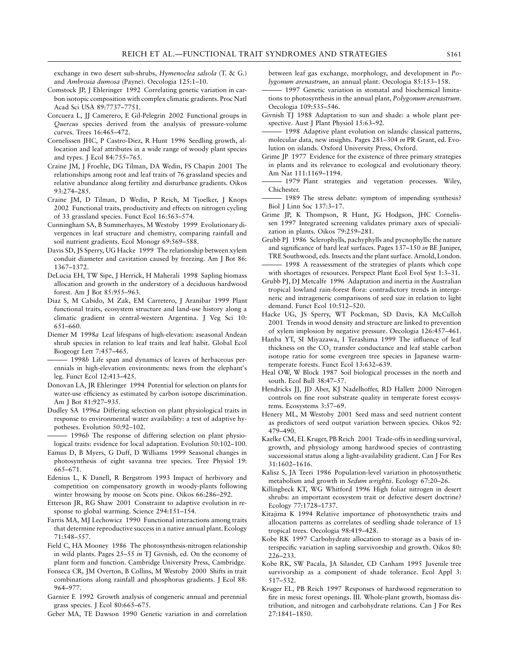exchange in two desert sub-shrubs, *Hymenoclea salsola* (T. & G.) and *Ambrosia dumosa* (Payne). Oecologia 125:1–10.

- Comstock JP, J Ehleringer 1992 Correlating genetic variation in carbon isotopic composition with complex climatic gradients. Proc Natl Acad Sci USA 89:7737–7751.
- Corcuera L, JJ Camerero, E Gil-Pelegrin 2002 Functional groups in *Quercus* species derived from the analysis of pressure-volume curves. Trees 16:465–472.
- Cornelissen JHC, P Castro-Diez, R Hunt 1996 Seedling growth, allocation and leaf attributes in a wide range of woody plant species and types. J Ecol 84:755–765.
- Craine JM, J Froehle, DG Tilman, DA Wedin, FS Chapin 2001 The relationships among root and leaf traits of 76 grassland species and relative abundance along fertility and disturbance gradients. Oikos 93:274–285.
- Craine JM, D Tilman, D Wedin, P Reich, M Tjoelker, J Knops 2002 Functional traits, productivity and effects on nitrogen cycling of 33 grassland species. Funct Ecol 16:563–574.
- Cunningham SA, B Summerhayes, M Westoby 1999 Evolutionary divergences in leaf structure and chemistry, comparing rainfall and soil nutrient gradients. Ecol Monogr 69:569–588.
- Davis SD, JS Sperry, UG Hacke 1999 The relationship between xylem conduit diameter and cavitation caused by freezing. Am J Bot 86: 1367–1372.
- DeLucia EH, TW Sipe, J Herrick, H Maherali 1998 Sapling biomass allocation and growth in the understory of a deciduous hardwood forest. Am J Bot 85:955–963.
- Diaz S, M Cabido, M Zak, EM Carretero, J Aranibar 1999 Plant functional traits, ecosystem structure and land-use history along a climatic gradient in central-western Argentina. J Veg Sci 10: 651–660.
- Diemer M 1998*a* Leaf lifespans of high-elevation: aseasonal Andean shrub species in relation to leaf traits and leaf habit. Global Ecol Biogeogr Lett 7:457–465.
- 1998*b* Life span and dynamics of leaves of herbaceous perennials in high-elevation environments: news from the elephant's leg. Funct Ecol 12:413–425.
- Donovan LA, JR Ehleringer 1994 Potential for selection on plants for water-use efficiency as estimated by carbon isotope discrimination. Am J Bot 81:927–935.
- Dudley SA 1996*a* Differing selection on plant physiological traits in response to environmental water availability: a test of adaptive hypotheses. Evolution 50:92–102.
- 1996b The response of differing selection on plant physiological traits: evidence for local adaptation. Evolution 50:102–100.
- Eamus D, B Myers, G Duff, D Williams 1999 Seasonal changes in photosynthesis of eight savanna tree species. Tree Physiol 19: 665–671.
- Edenius L, K Danell, R Bergstrom 1993 Impact of herbivory and competition on compensatory growth in woody-plants following winter browsing by moose on Scots pine. Oikos 66:286–292.
- Etterson JR, RG Shaw 2001 Constraint to adaptive evolution in response to global warming. Science 294:151–154.
- Farris MA, MJ Lechowicz 1990 Functional interactions among traits that determine reproductive success in a native annual plant. Ecology 71:548–557.
- Field C, HA Mooney 1986 The photosynthesis-nitrogen relationship in wild plants. Pages 25–55 *in* TJ Givnish, ed. On the economy of plant form and function. Cambridge University Press, Cambridge.
- Fonseca CR, JM Overton, B Collins, M Westoby 2000 Shifts in trait combinations along rainfall and phosphorus gradients. J Ecol 88: 964–977.
- Garnier E 1992 Growth analysis of congeneric annual and perennial grass species. J Ecol 80:665–675.
- Geber MA, TE Dawson 1990 Genetic variation in and correlation

between leaf gas exchange, morphology, and development in *Polygonum arenastrum*, an annual plant. Oecologia 85:153–158.

- 1997 Genetic variation in stomatal and biochemical limitations to photosynthesis in the annual plant, *Polygonum arenastrum*. Oecologia 109:535–546.
- Givnish TJ 1988 Adaptation to sun and shade: a whole plant perspective. Aust J Plant Physiol 15:63–92.
- 1998 Adaptive plant evolution on islands: classical patterns, molecular data, new insights. Pages 281–304 *in* PR Grant, ed. Evolution on islands. Oxford University Press, Oxford.
- Grime JP 1977 Evidence for the existence of three primary strategies in plants and its relevance to ecological and evolutionary theory. Am Nat 111:1169–1194.
- 1979 Plant strategies and vegetation processes. Wiley, Chichester.
- 1989 The stress debate: symptom of impending synthesis? Biol J Linn Soc 137:3–17.
- Grime JP, K Thompson, R Hunt, JG Hodgson, JHC Cornelissen 1997 Integrated screening validates primary axes of specialization in plants. Oikos 79:259–281.
- Grubb PJ 1986 Sclerophylls, pachyphylls and pycnophylls: the nature and significance of hard leaf surfaces. Pages 137–150 *in* BE Juniper, TRE Southwood, eds. Insects and the plant surface. Arnold, London. 1998 A reassessment of the strategies of plants which cope
- with shortages of resources. Perspect Plant Ecol Evol Syst 1:3–31. Grubb PJ, DJ Metcalfe 1996 Adaptation and inertia in the Australian
- tropical lowland rain-forest flora: contradictory trends in intergeneric and intrageneric comparisons of seed size in relation to light demand. Funct Ecol 10:512–520.
- Hacke UG, JS Sperry, WT Pockman, SD Davis, KA McCulloh 2001 Trends in wood density and structure are linked to prevention of xylem implosion by negative pressure. Oecologia 126:457–461.
- Hanba YT, SI Miyazawa, I Terashima 1999 The influence of leaf thickness on the  $CO<sub>2</sub>$  transfer conductance and leaf stable carbon isotope ratio for some evergreen tree species in Japanese warmtemperate forests. Funct Ecol 13:632–639.
- Heal OW, W Block 1987 Soil biological processes in the north and south. Ecol Bull 38:47–57.
- Hendricks JJ, JD Aber, KJ Nadelhoffer, RD Hallett 2000 Nitrogen controls on fine root substrate quality in temperate forest ecosystems. Ecosystems 3:57–69.
- Henery ML, M Westoby 2001 Seed mass and seed nutrient content as predictors of seed output variation between species. Oikos 92: 479–490.
- Kaelke CM, EL Kruger, PB Reich 2001 Trade-offs in seedling survival, growth, and physiology among hardwood species of contrasting successional status along a light-availability gradient. Can J For Res 31:1602–1616.
- Kalisz S, JA Teeri 1986 Population-level variation in photosynthetic metabolism and growth in *Sedum wrightii*. Ecology 67:20–26.
- Killingbeck KT, WG Whitford 1996 High foliar nitrogen in desert shrubs: an important ecosystem trait or defective desert doctrine? Ecology 77:1728–1737.
- Kitajima K 1994 Relative importance of photosynthetic traits and allocation patterns as correlates of seedling shade tolerance of 13 tropical trees. Oecologia 98:419–428.
- Kobe RK 1997 Carbohydrate allocation to storage as a basis of interspecific variation in sapling survivorship and growth. Oikos 80: 226–233.
- Kobe RK, SW Pacala, JA Silander, CD Canham 1995 Juvenile tree survivorship as a component of shade tolerance. Ecol Appl 3: 517–532.
- Kruger EL, PB Reich 1997 Responses of hardwood regeneration to fire in mesic forest openings. III. Whole-plant growth, biomass distribution, and nitrogen and carbohydrate relations. Can J For Res 27:1841–1850.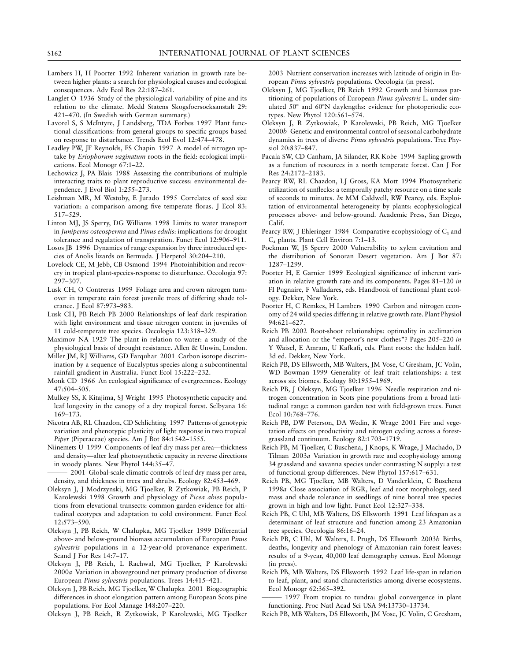- Lambers H, H Poorter 1992 Inherent variation in growth rate between higher plants: a search for physiological causes and ecological consequences. Adv Ecol Res 22:187–261.
- Langlet O 1936 Study of the physiological variability of pine and its relation to the climate. Medd Statens Skogsfoersoeksanstalt 29: 421–470. (In Swedish with German summary.)
- Lavorel S, S McIntyre, J Landsberg, TDA Forbes 1997 Plant functional classifications: from general groups to specific groups based on response to disturbance. Trends Ecol Evol 12:474–478.
- Leadley PW, JF Reynolds, FS Chapin 1997 A model of nitrogen uptake by *Eriophorum vaginatum* roots in the field: ecological implications. Ecol Monogr 67:1–22.
- Lechowicz J, PA Blais 1988 Assessing the contributions of multiple interacting traits to plant reproductive success: environmental dependence. J Evol Biol 1:255–273.
- Leishman MR, M Westoby, E Jurado 1995 Correlates of seed size variation: a comparison among five temperate floras. J Ecol 83: 517–529.
- Linton MJ, JS Sperry, DG Williams 1998 Limits to water transport in *Juniperus osteosperma* and *Pinus edulis*: implications for drought tolerance and regulation of transpiration. Funct Ecol 12:906–911.
- Losos JB 1996 Dynamics of range expansion by three introduced species of Anolis lizards on Bermuda. J Herpetol 30:204–210.
- Lovelock CE, M Jebb, CB Osmond 1994 Photoinhibition and recovery in tropical plant-species-response to disturbance. Oecologia 97: 297–307.
- Lusk CH, O Contreras 1999 Foliage area and crown nitrogen turnover in temperate rain forest juvenile trees of differing shade tolerance. J Ecol 87:973–983.
- Lusk CH, PB Reich PB 2000 Relationships of leaf dark respiration with light environment and tissue nitrogen content in juveniles of 11 cold-temperate tree species. Oecologia 123:318–329.
- Maximov NA 1929 The plant in relation to water: a study of the physiological basis of drought resistance. Allen & Unwin, London.
- Miller JM, RJ Williams, GD Farquhar 2001 Carbon isotope discrimination by a sequence of Eucalyptus species along a subcontinental rainfall gradient in Australia. Funct Ecol 15:222–232.
- Monk CD 1966 An ecological significance of evergreenness. Ecology 47:504–505.
- Mulkey SS, K Kitajima, SJ Wright 1995 Photosynthetic capacity and leaf longevity in the canopy of a dry tropical forest. Selbyana 16: 169–173.
- Nicotra AB, RL Chazdon, CD Schlichting 1997 Patterns of genotypic variation and phenotypic plasticity of light response in two tropical *Piper* (Piperaceae) species. Am J Bot 84:1542–1555.
- Niinemets U 1999 Components of leaf dry mass per area—thickness and density—alter leaf photosynthetic capacity in reverse directions in woody plants. New Phytol 144:35–47.
- 2001 Global-scale climatic controls of leaf dry mass per area, density, and thickness in trees and shrubs. Ecology 82:453–469.
- Oleksyn J, J Modrzynski, MG Tjoelker, R Zytkowiak, PB Reich, P Karolewski 1998 Growth and physiology of *Picea abies* populations from elevational transects: common garden evidence for altitudinal ecotypes and adaptation to cold environment. Funct Ecol 12:573–590.
- Oleksyn J, PB Reich, W Chalupka, MG Tjoelker 1999 Differential above- and below-ground biomass accumulation of European *Pinus sylvestris* populations in a 12-year-old provenance experiment. Scand J For Res 14:7–17.
- Oleksyn J, PB Reich, L Rachwal, MG Tjoelker, P Karolewski 2000*a* Variation in aboveground net primary production of diverse European *Pinus sylvestris* populations. Trees 14:415–421.
- Oleksyn J, PB Reich, MG Tjoelker, W Chalupka 2001 Biogeographic differences in shoot elongation pattern among European Scots pine populations. For Ecol Manage 148:207–220.
- Oleksyn J, PB Reich, R Zytkowiak, P Karolewski, MG Tjoelker

2003 Nutrient conservation increases with latitude of origin in European *Pinus sylvestris* populations. Oecologia (in press).

- Oleksyn J, MG Tjoelker, PB Reich 1992 Growth and biomass partitioning of populations of European *Pinus sylvestris* L. under simulated 50° and 60°N daylengths: evidence for photoperiodic ecotypes. New Phytol 120:561–574.
- Oleksyn J, R Zytkowiak, P Karolewski, PB Reich, MG Tjoelker 2000*b* Genetic and environmental control of seasonal carbohydrate dynamics in trees of diverse *Pinus sylvestris* populations. Tree Physiol 20:837–847.
- Pacala SW, CD Canham, JA Silander, RK Kobe 1994 Sapling growth as a function of resources in a north temperate forest. Can J For Res 24:2172–2183.
- Pearcy RW, RL Chazdon, LJ Gross, KA Mott 1994 Photosynthetic utilization of sunflecks: a temporally patchy resource on a time scale of seconds to minutes. *In* MM Caldwell, RW Pearcy, eds. Exploitation of environmental heterogeneity by plants: ecophysiological processes above- and below-ground. Academic Press, San Diego, Calif.
- Pearcy RW, J Ehleringer 1984 Comparative ecophysiology of  $C_3$  and C4 plants. Plant Cell Environ 7:1–13.
- Pockman W, JS Sperry 2000 Vulnerability to xylem cavitation and the distribution of Sonoran Desert vegetation. Am J Bot 87: 1287–1299.
- Poorter H, E Garnier 1999 Ecological significance of inherent variation in relative growth rate and its components. Pages 81–120 *in* FI Pugnaire, F Valladares, eds. Handbook of functional plant ecology. Dekker, New York.
- Poorter H, C Remkes, H Lambers 1990 Carbon and nitrogen economy of 24 wild species differing in relative growth rate. Plant Physiol 94:621–627.
- Reich PB 2002 Root-shoot relationships: optimality in acclimation and allocation or the "emperor's new clothes"? Pages 205–220 *in* Y Waisel, E Amram, U Kafkafi, eds. Plant roots: the hidden half. 3d ed. Dekker, New York.
- Reich PB, DS Ellsworth, MB Walters, JM Vose, C Gresham, JC Volin, WD Bowman 1999 Generality of leaf trait relationships: a test across six biomes. Ecology 80:1955–1969.
- Reich PB, J Oleksyn, MG Tjoelker 1996 Needle respiration and nitrogen concentration in Scots pine populations from a broad latitudinal range: a common garden test with field-grown trees. Funct Ecol 10:768–776.
- Reich PB, DW Peterson, DA Wedin, K Wrage 2001 Fire and vegetation effects on productivity and nitrogen cycling across a forestgrassland continuum. Ecology 82:1703–1719.
- Reich PB, M Tjoelker, C Buschena, J Knops, K Wrage, J Machado, D Tilman 2003*a* Variation in growth rate and ecophysiology among 34 grassland and savanna species under contrasting N supply: a test of functional group differences. New Phytol 157:617–631.
- Reich PB, MG Tjoelker, MB Walters, D Vanderklein, C Buschena 1998*a* Close association of RGR, leaf and root morphology, seed mass and shade tolerance in seedlings of nine boreal tree species grown in high and low light. Funct Ecol 12:327–338.
- Reich PB, C Uhl, MB Walters, DS Ellsworth 1991 Leaf lifespan as a determinant of leaf structure and function among 23 Amazonian tree species. Oecologia 86:16–24.
- Reich PB, C Uhl, M Walters, L Prugh, DS Ellsworth 2003*b* Births, deaths, longevity and phenology of Amazonian rain forest leaves: results of a 9-year, 40,000 leaf demography census. Ecol Monogr (in press).
- Reich PB, MB Walters, DS Ellsworth 1992 Leaf life-span in relation to leaf, plant, and stand characteristics among diverse ecosystems. Ecol Monogr 62:365–392.
- 1997 From tropics to tundra: global convergence in plant functioning. Proc Natl Acad Sci USA 94:13730–13734.
- Reich PB, MB Walters, DS Ellsworth, JM Vose, JC Volin, C Gresham,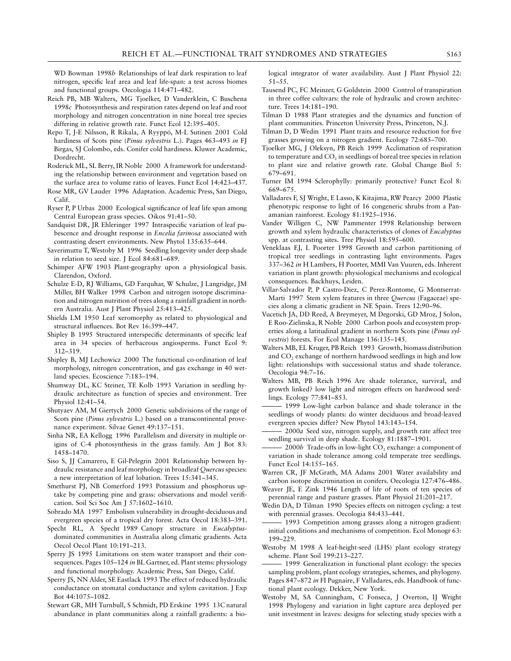WD Bowman 1998*b* Relationships of leaf dark respiration to leaf nitrogen, specific leaf area and leaf life-span: a test across biomes and functional groups. Oecologia 114:471–482.

- Reich PB, MB Walters, MG Tjoelker, D Vanderklein, C Buschena 1998*c* Photosynthesis and respiration rates depend on leaf and root morphology and nitrogen concentration in nine boreal tree species differing in relative growth rate. Funct Ecol 12:395–405.
- Repo T, J-E Nilsson, R Rikala, A Ryyppö, M-L Sutinen 2001 Cold hardiness of Scots pine (*Pinus sylvestris* L.). Pages 463–493 *in* FJ Birgas, SJ Colombo, eds. Conifer cold hardiness. Kluwer Academic, Dordrecht.
- Roderick ML, SL Berry, IR Noble 2000 A framework for understanding the relationship between environment and vegetation based on the surface area to volume ratio of leaves. Funct Ecol 14:423–437.
- Rose MR, GV Lauder 1996 Adaptation. Academic Press, San Diego, Calif.
- Ryser P, P Urbas 2000 Ecological significance of leaf life span among Central European grass species. Oikos 91:41–50.
- Sandquist DR, JR Ehleringer 1997 Intraspecific variation of leaf pubescence and drought response in *Encelia farinosa* associated with contrasting desert environments. New Phytol 135:635–644.
- Saverimuttu T, Westoby M 1996 Seedling longevity under deep shade in relation to seed size. J Ecol 84:681–689.
- Schimper AFW 1903 Plant-geography upon a physiological basis. Clarendon, Oxford.
- Schulze E-D, RJ Williams, GD Farquhar, W Schulze, J Langridge, JM Miller, BH Walker 1998 Carbon and nitrogen isotope discrimination and nitrogen nutrition of trees along a rainfall gradient in northern Australia. Aust J Plant Physiol 25:413–425.
- Shields LM 1950 Leaf xeromorphy as related to physiological and structural influences. Bot Rev 16:399–447.
- Shipley B 1995 Structured interspecific determinants of specific leaf area in 34 species of herbaceous angiosperms. Funct Ecol 9: 312–319.
- Shipley B, MJ Lechowicz 2000 The functional co-ordination of leaf morphology, nitrogen concentration, and gas exchange in 40 wetland species. Ecoscience 7:183–194.
- Shumway DL, KC Steiner, TE Kolb 1993 Variation in seedling hydraulic architecture as function of species and environment. Tree Physiol 12:41–54.
- Shutyaev AM, M Giertych 2000 Genetic subdivisions of the range of Scots pine (*Pinus sylvestris* L.) based on a transcontinental provenance experiment. Silvae Genet 49:137–151.
- Sinha NR, EA Kellogg 1996 Parallelism and diversity in multiple origins of C-4 photosynthesis in the grass family. Am J Bot 83: 1458–1470.
- Siso S, JJ Camarero, E Gil-Pelegrin 2001 Relationship between hydraulic resistance and leaf morphology in broadleaf *Quercus*species: a new interpretation of leaf lobation. Trees 15:341–345.
- Smethurst PJ, NB Comerford 1993 Potassium and phosphorus uptake by competing pine and grass: observations and model verification. Soil Sci Soc Am J 57:1602–1610.
- Sobrado MA 1997 Embolism vulnerability in drought-deciduous and evergreen species of a tropical dry forest. Acta Oecol 18:383–391.
- Specht RL, A Specht 1989 Canopy structure in *Eucalyptus*dominated communities in Australia along climatic gradients. Acta Oecol Oecol Plant 10:191–213.
- Sperry JS 1995 Limitations on stem water transport and their consequences. Pages 105–124 *in* BL Gartner, ed. Plant stems: physiology and functional morphology. Academic Press, San Diego, Calif.
- Sperry JS, NN Alder, SE Eastlack 1993 The effect of reduced hydraulic conductance on stomatal conductance and xylem cavitation. J Exp Bot 44:1075–1082.
- Stewart GR, MH Turnbull, S Schmidt, PD Erskine 1995 13C natural abundance in plant communities along a rainfall gradients: a bio-

logical integrator of water availability. Aust J Plant Physiol 22: 51–55.

- Tausend PC, FC Meinzer, G Goldstein 2000 Control of transpiration in three coffee cultivars: the role of hydraulic and crown architecture. Trees 14:181–190.
- Tilman D 1988 Plant strategies and the dynamics and function of plant communities. Princeton University Press, Princeton, N.J.
- Tilman D, D Wedin 1991 Plant traits and resource reduction for five grasses growing on a nitrogen gradient. Ecology 72:685–700.
- Tjoelker MG, J Oleksyn, PB Reich 1999 Acclimation of respiration to temperature and CO<sub>2</sub> in seedlings of boreal tree species in relation to plant size and relative growth rate. Global Change Biol 5: 679–691.
- Turner IM 1994 Sclerophylly: primarily protective? Funct Ecol 8: 669–675.
- Valladares F, SJ Wright, E Lasso, K Kitajima, RW Pearcy 2000 Plastic phenotypic response to light of 16 congeneric shrubs from a Panamanian rainforest. Ecology 81:1925–1936.
- Vander Willigen C, NW Pammenter 1998 Relationship between growth and xylem hydraulic characteristics of clones of *Eucalyptus* spp. at contrasting sites. Tree Physiol 18:595–600.
- Veneklaas EJ, L Poorter 1998 Growth and carbon partitioning of tropical tree seedlings in contrasting light environments. Pages 337–362 *in* H Lambers, H Poorter, MMI Van Vuuren, eds. Inherent variation in plant growth: physiological mechanisms and ecological consequences. Backhuys, Leiden.
- Villar-Salvador P, P Castro-Diez, C Perez-Rontome, G Montserrat-Marti 1997 Stem xylem features in three *Quercus* (Fagaceae) species along a climatic gradient in NE Spain. Trees 12:90–96.
- Vucetich JA, DD Reed, A Breymeyer, M Degorski, GD Mroz, J Solon, E Roo-Zielinska, R Noble 2000 Carbon pools and ecosystem properties along a latitudinal gradient in northern Scots pine (*Pinus sylvestris*) forests. For Ecol Manage 136:135–145.
- Walters MB, EL Kruger, PB Reich 1993 Growth, biomass distribution and  $CO<sub>2</sub>$  exchange of northern hardwood seedlings in high and low light: relationships with successional status and shade tolerance. Oecologia 94:7–16.
- Walters MB, PB Reich 1996 Are shade tolerance, survival, and growth linked? low light and nitrogen effects on hardwood seedlings. Ecology 77:841–853.
- 1999 Low-light carbon balance and shade tolerance in the seedlings of woody plants: do winter deciduous and broad-leaved evergreen species differ? New Phytol 143:143–154.
- 2000*a* Seed size, nitrogen supply, and growth rate affect tree seedling survival in deep shade. Ecology 81:1887–1901.
- $2000b$  Trade-offs in low-light  $CO<sub>2</sub>$  exchange: a component of variation in shade tolerance among cold temperate tree seedlings. Funct Ecol 14:155–165.
- Warren CR, JF McGrath, MA Adams 2001 Water availability and carbon isotope discrimination in conifers. Oecologia 127:476–486.
- Weaver JE, E Zink 1946 Length of life of roots of ten species of perennial range and pasture grasses. Plant Physiol 21:201–217.
- Wedin DA, D Tilman 1990 Species effects on nitrogen cycling: a test with perennial grasses. Oecologia 84:433–441.
- 1993 Competition among grasses along a nitrogen gradient: initial conditions and mechanisms of competition. Ecol Monogr 63: 199–229.
- Westoby M 1998 A leaf-height-seed (LHS) plant ecology strategy scheme. Plant Soil 199:213–227.
- 1999 Generalization in functional plant ecology: the species sampling problem, plant ecology strategies, schemes, and phylogeny. Pages 847–872 *in* FI Pugnaire, F Valladares, eds. Handbook of functional plant ecology. Dekker, New York.
- Westoby M, SA Cunningham, C Fonseca, J Overton, IJ Wright 1998 Phylogeny and variation in light capture area deployed per unit investment in leaves: designs for selecting study species with a